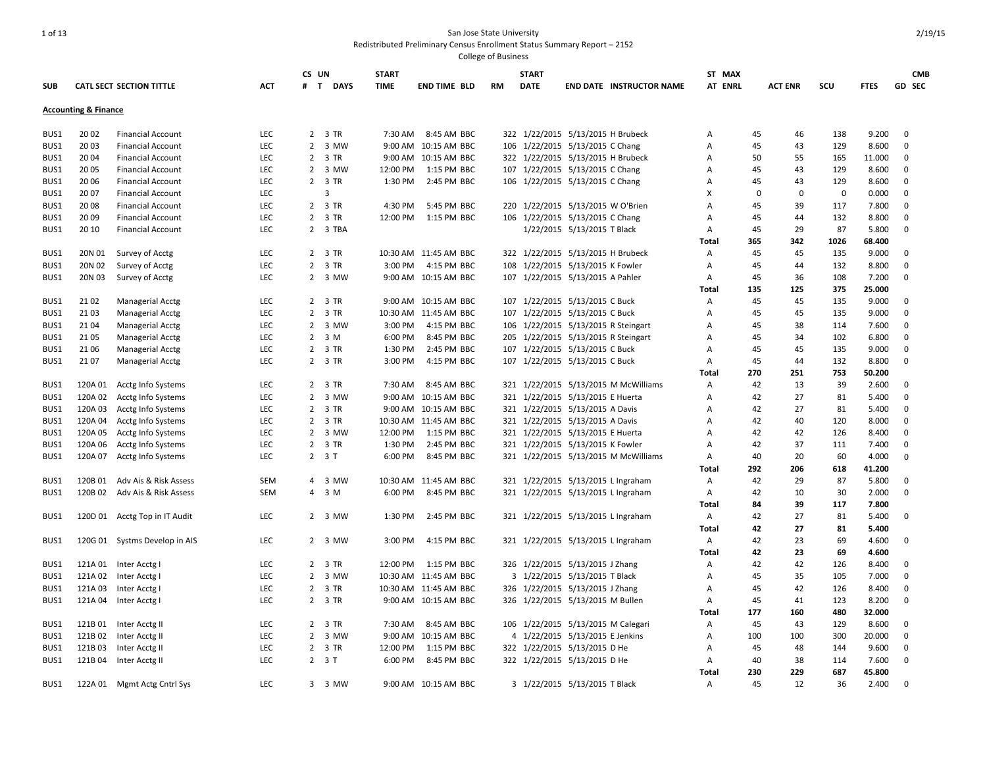| <b>SUB</b> |                                 | <b>CATL SECT SECTION TITTLE</b> | <b>ACT</b> | CS UN<br>$\mathbf{T}$ | <b>DAYS</b> | <b>START</b><br><b>TIME</b> | <b>END TIME BLD</b>   | <b>RM</b> | <b>START</b><br><b>DATE</b> | <b>END DATE INSTRUCTOR NAME</b>      | ST MAX<br><b>AT ENRL</b> |          | <b>ACT ENR</b> | scu          | <b>FTES</b> | <b>CMB</b><br>GD SEC |
|------------|---------------------------------|---------------------------------|------------|-----------------------|-------------|-----------------------------|-----------------------|-----------|-----------------------------|--------------------------------------|--------------------------|----------|----------------|--------------|-------------|----------------------|
|            | <b>Accounting &amp; Finance</b> |                                 |            |                       |             |                             |                       |           |                             |                                      |                          |          |                |              |             |                      |
| BUS1       | 20 02                           | <b>Financial Account</b>        | LEC        |                       | 2 3 TR      | 7:30 AM                     | 8:45 AM BBC           |           |                             | 322 1/22/2015 5/13/2015 H Brubeck    | Α                        | 45       | 46             | 138          | 9.200       | $\mathbf 0$          |
| BUS1       | 2003                            | <b>Financial Account</b>        | LEC        |                       | 2 3 MW      |                             | 9:00 AM 10:15 AM BBC  | 106       |                             | 1/22/2015 5/13/2015 C Chang          | Α                        | 45       | 43             | 129          | 8.600       | $\mathbf 0$          |
| BUS1       | 2004                            | <b>Financial Account</b>        | <b>LEC</b> |                       | 2 3 TR      |                             | 9:00 AM 10:15 AM BBC  |           |                             | 322 1/22/2015 5/13/2015 H Brubeck    | A                        | 50       | 55             | 165          | 11.000      | $\mathbf 0$          |
| BUS1       | 20 05                           | <b>Financial Account</b>        | <b>LEC</b> | 2                     | 3 MW        | 12:00 PM                    | 1:15 PM BBC           | 107       |                             | 1/22/2015 5/13/2015 C Chang          | A                        | 45       | 43             | 129          | 8.600       | 0                    |
| BUS1       | 2006                            | <b>Financial Account</b>        | LEC        |                       | 2 3 TR      | 1:30 PM                     | 2:45 PM BBC           |           |                             | 106 1/22/2015 5/13/2015 C Chang      | Α                        | 45       | 43             | 129          | 8.600       | $\mathbf 0$          |
| BUS1       | 20 07                           | <b>Financial Account</b>        | LEC        |                       | 3           |                             |                       |           |                             |                                      | X                        | $\Omega$ | $\mathbf 0$    | $\mathbf{0}$ | 0.000       | $\mathbf 0$          |
| BUS1       | 20 08                           | <b>Financial Account</b>        | LEC        |                       | 2 3 TR      | 4:30 PM                     | 5:45 PM BBC           |           |                             | 220 1/22/2015 5/13/2015 W O'Brien    | A                        | 45       | 39             | 117          | 7.800       | $\mathbf 0$          |
| BUS1       | 2009                            | <b>Financial Account</b>        | LEC        |                       | 2 3 TR      | 12:00 PM                    | 1:15 PM BBC           |           |                             | 106 1/22/2015 5/13/2015 C Chang      | A                        | 45       | 44             | 132          | 8.800       | 0                    |
| BUS1       | 20 10                           | <b>Financial Account</b>        | <b>LEC</b> |                       | 2 3 TBA     |                             |                       |           |                             | 1/22/2015 5/13/2015 T Black          | $\overline{A}$           | 45       | 29             | 87           | 5.800       | $\mathbf 0$          |
|            |                                 |                                 |            |                       |             |                             |                       |           |                             |                                      | Total                    | 365      | 342            | 1026         | 68.400      |                      |
| BUS1       | 20N 01                          | Survey of Acctg                 | LEC        |                       | 2 3 TR      |                             | 10:30 AM 11:45 AM BBC |           |                             | 322 1/22/2015 5/13/2015 H Brubeck    | Α                        | 45       | 45             | 135          | 9.000       | 0                    |
| BUS1       | 20N 02                          | Survey of Acctg                 | LEC        | $\overline{2}$        | 3 TR        | 3:00 PM                     | 4:15 PM BBC           |           |                             | 108 1/22/2015 5/13/2015 K Fowler     | A                        | 45       | 44             | 132          | 8.800       | $\mathbf 0$          |
| BUS1       | 20N 03                          | Survey of Acctg                 | <b>LEC</b> |                       | 2 3 MW      |                             | 9:00 AM 10:15 AM BBC  |           |                             | 107 1/22/2015 5/13/2015 A Pahler     | Α                        | 45       | 36             | 108          | 7.200       | $\mathbf 0$          |
|            |                                 |                                 |            |                       |             |                             |                       |           |                             |                                      | Total                    | 135      | 125            | 375          | 25.000      |                      |
| BUS1       | 2102                            | <b>Managerial Acctg</b>         | <b>LEC</b> |                       | 2 3 TR      |                             | 9:00 AM 10:15 AM BBC  | 107       |                             | 1/22/2015 5/13/2015 C Buck           | $\mathsf{A}$             | 45       | 45             | 135          | 9.000       | $\mathbf 0$          |
| BUS1       | 2103                            | <b>Managerial Acctg</b>         | <b>LEC</b> | $\overline{2}$        | 3 TR        |                             | 10:30 AM 11:45 AM BBC | 107       |                             | 1/22/2015 5/13/2015 C Buck           | A                        | 45       | 45             | 135          | 9.000       | $\mathbf 0$          |
| BUS1       | 2104                            | <b>Managerial Acctg</b>         | <b>LEC</b> | $\overline{2}$        | 3 MW        | 3:00 PM                     | 4:15 PM BBC           | 106       |                             | 1/22/2015 5/13/2015 R Steingart      | A                        | 45       | 38             | 114          | 7.600       | 0                    |
| BUS1       | 2105                            | <b>Managerial Acctg</b>         | LEC        | $\overline{2}$        | 3 M         | 6:00 PM                     | 8:45 PM BBC           | 205       |                             | 1/22/2015 5/13/2015 R Steingart      | Α                        | 45       | 34             | 102          | 6.800       | $\mathbf 0$          |
| BUS1       | 21 06                           | <b>Managerial Acctg</b>         | <b>LEC</b> |                       | 2 3 TR      | 1:30 PM                     | 2:45 PM BBC           |           |                             | 107 1/22/2015 5/13/2015 C Buck       | Α                        | 45       | 45             | 135          | 9.000       | $\mathbf 0$          |
| BUS1       | 2107                            | <b>Managerial Acctg</b>         | LEC        |                       | 2 3 TR      | 3:00 PM                     | 4:15 PM BBC           |           |                             | 107 1/22/2015 5/13/2015 C Buck       | Α                        | 45       | 44             | 132          | 8.800       | $\mathbf 0$          |
|            |                                 |                                 |            |                       |             |                             |                       |           |                             |                                      | Total                    | 270      | 251            | 753          | 50.200      |                      |
| BUS1       | 120A 01                         | Acctg Info Systems              | <b>LEC</b> |                       | 2 3 TR      | 7:30 AM                     | 8:45 AM BBC           |           |                             | 321 1/22/2015 5/13/2015 M McWilliams | $\mathsf{A}$             | 42       | 13             | 39           | 2.600       | $\mathbf 0$          |
| BUS1       | 120A 02                         | Acctg Info Systems              | <b>LEC</b> | $\overline{2}$        | 3 MW        | 9:00 AM                     | 10:15 AM BBC          | 321       |                             | 1/22/2015 5/13/2015 E Huerta         | A                        | 42       | 27             | 81           | 5.400       | $\mathbf 0$          |
| BUS1       | 120A 03                         | Acctg Info Systems              | LEC        | $2^{\circ}$           | 3 TR        |                             | 9:00 AM 10:15 AM BBC  |           |                             | 321 1/22/2015 5/13/2015 A Davis      | Α                        | 42       | 27             | 81           | 5.400       | 0                    |
| BUS1       | 120A 04                         | Acctg Info Systems              | LEC        | $\overline{2}$        | 3 TR        |                             | 10:30 AM 11:45 AM BBC |           |                             | 321 1/22/2015 5/13/2015 A Davis      | A                        | 42       | 40             | 120          | 8.000       | $\mathbf 0$          |
| BUS1       | 120A 05                         | Acctg Info Systems              | LEC        |                       | 2 3 MW      | 12:00 PM                    | 1:15 PM BBC           |           |                             | 321 1/22/2015 5/13/2015 E Huerta     | А                        | 42       | 42             | 126          | 8.400       | 0                    |
| BUS1       | 120A 06                         | Acctg Info Systems              | LEC        |                       | 2 3 TR      | 1:30 PM                     | 2:45 PM BBC           |           |                             | 321 1/22/2015 5/13/2015 K Fowler     | A                        | 42       | 37             | 111          | 7.400       | $\mathbf 0$          |
| BUS1       | 120A 07                         | Acctg Info Systems              | <b>LEC</b> | $23$ T                |             | 6:00 PM                     | 8:45 PM BBC           |           |                             | 321 1/22/2015 5/13/2015 M McWilliams | $\mathsf{A}$             | 40       | 20             | 60           | 4.000       | $\mathbf 0$          |
|            |                                 |                                 |            |                       |             |                             |                       |           |                             |                                      | Total                    | 292      | 206            | 618          | 41.200      |                      |
| BUS1       | 120B 01                         | Adv Ais & Risk Assess           | SEM        | 4                     | 3 MW        |                             | 10:30 AM 11:45 AM BBC |           |                             | 321 1/22/2015 5/13/2015 L Ingraham   | Α                        | 42       | 29             | 87           | 5.800       | 0                    |
| BUS1       | 120B 02                         | Adv Ais & Risk Assess           | <b>SEM</b> |                       | 4 3 M       | 6:00 PM                     | 8:45 PM BBC           |           |                             | 321 1/22/2015 5/13/2015 L Ingraham   | A                        | 42       | 10             | 30           | 2.000       | $\mathbf 0$          |
|            |                                 |                                 |            |                       |             |                             |                       |           |                             |                                      | Total                    | 84       | 39             | 117          | 7.800       |                      |
| BUS1       |                                 | 120D 01 Acctg Top in IT Audit   | <b>LEC</b> |                       | 2 3 MW      | 1:30 PM                     | 2:45 PM BBC           |           |                             | 321 1/22/2015 5/13/2015 L Ingraham   | A                        | 42       | 27             | 81           | 5.400       | 0                    |
|            |                                 |                                 |            |                       |             |                             |                       |           |                             |                                      | <b>Total</b>             | 42       | 27             | 81           | 5.400       |                      |
| BUS1       |                                 | 120G 01 Systms Develop in AIS   | <b>LEC</b> |                       | 2 3 MW      | 3:00 PM                     | 4:15 PM BBC           |           |                             | 321 1/22/2015 5/13/2015 L Ingraham   | $\mathsf{A}$             | 42       | 23             | 69           | 4.600       | 0                    |
|            |                                 |                                 |            |                       |             |                             |                       |           |                             |                                      | Total                    | 42       | 23             | 69           | 4.600       |                      |
| BUS1       | 121A 01                         | Inter Acctg I                   | <b>LEC</b> | $\mathbf{2}$          | 3 TR        | 12:00 PM                    | 1:15 PM BBC           |           |                             | 326 1/22/2015 5/13/2015 J Zhang      | Α                        | 42       | 42             | 126          | 8.400       | 0                    |
| BUS1       |                                 | 121A 02 Inter Acctg I           | <b>LEC</b> |                       | 2 3 MW      |                             | 10:30 AM 11:45 AM BBC |           |                             | 3 1/22/2015 5/13/2015 T Black        | Α                        | 45       | 35             | 105          | 7.000       | $\mathbf 0$          |
| BUS1       | 121A 03                         | Inter Acctg I                   | <b>LEC</b> |                       | 2 3 TR      |                             | 10:30 AM 11:45 AM BBC |           |                             | 326 1/22/2015 5/13/2015 J Zhang      | Α                        | 45       | 42             | 126          | 8.400       | $\mathbf 0$          |
| BUS1       | 121A 04                         | Inter Acctg I                   | LEC        |                       | 2 3 TR      |                             | 9:00 AM 10:15 AM BBC  |           |                             | 326 1/22/2015 5/13/2015 M Bullen     | Α                        | 45       | 41             | 123          | 8.200       | $\mathbf 0$          |
|            |                                 |                                 |            |                       |             |                             |                       |           |                             |                                      | Total                    | 177      | 160            | 480          | 32.000      |                      |
| BUS1       | 121B 01                         | Inter Acctg II                  | <b>LEC</b> | $\overline{2}$        | 3 TR        | 7:30 AM                     | 8:45 AM BBC           |           |                             | 106 1/22/2015 5/13/2015 M Calegari   | A                        | 45       | 43             | 129          | 8.600       | $\mathbf 0$          |
| BUS1       | 121B 02                         | Inter Acctg II                  | <b>LEC</b> | $\overline{2}$        | 3 MW        |                             | 9:00 AM 10:15 AM BBC  |           |                             | 4 1/22/2015 5/13/2015 E Jenkins      | Α                        | 100      | 100            | 300          | 20.000      | 0                    |
| BUS1       | 121B03                          | Inter Acctg II                  | LEC        | $\overline{2}$        | 3 TR        | 12:00 PM                    | 1:15 PM BBC           |           |                             | 322 1/22/2015 5/13/2015 D He         | Α                        | 45       | 48             | 144          | 9.600       | $\mathbf 0$          |
| BUS1       | 121B 04                         | Inter Acctg II                  | LEC        | $2 \t3 T$             |             | 6:00 PM                     | 8:45 PM BBC           |           |                             | 322 1/22/2015 5/13/2015 D He         | A                        | 40       | 38             | 114          | 7.600       | 0                    |
|            |                                 |                                 |            |                       |             |                             |                       |           |                             |                                      | Total                    | 230      | 229            | 687          | 45.800      |                      |
| BUS1       |                                 | 122A 01 Mgmt Actg Cntrl Sys     | LEC        |                       | 3 3 MW      |                             | 9:00 AM 10:15 AM BBC  |           |                             | 3 1/22/2015 5/13/2015 T Black        | $\mathsf{A}$             | 45       | 12             | 36           | 2.400       | $\Omega$             |
|            |                                 |                                 |            |                       |             |                             |                       |           |                             |                                      |                          |          |                |              |             |                      |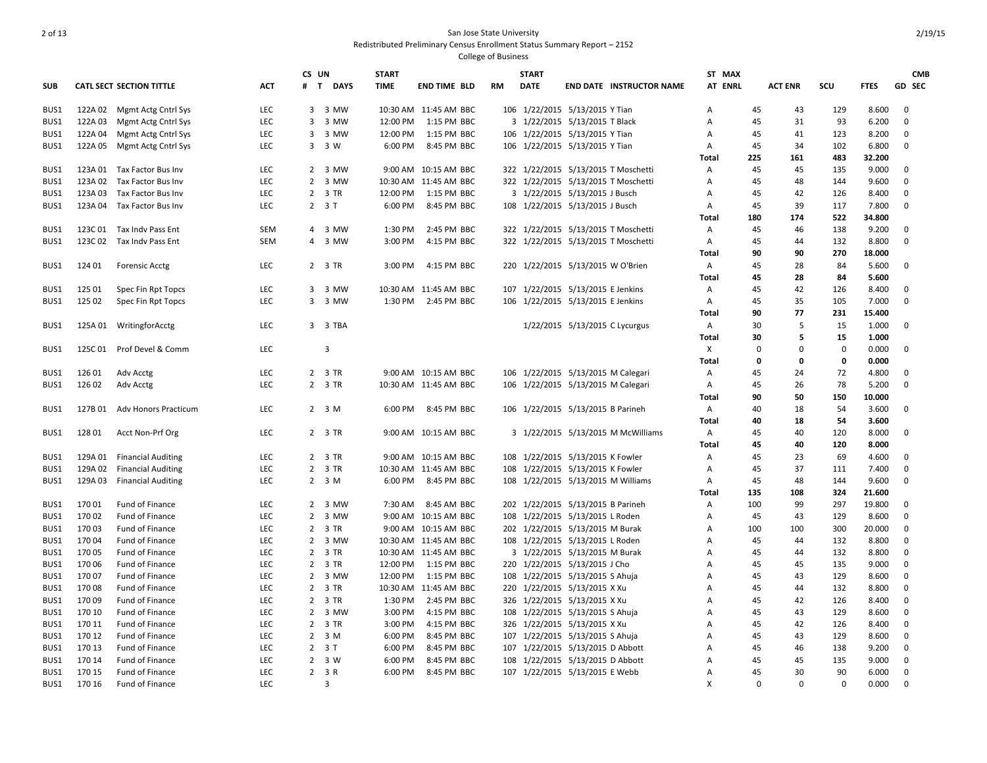|              |                    |                             |            | CS UN          |                            | <b>START</b> |                                      |            | <b>START</b> |                                                                | ST MAX         |          |                |             |             | <b>CMB</b>    |
|--------------|--------------------|-----------------------------|------------|----------------|----------------------------|--------------|--------------------------------------|------------|--------------|----------------------------------------------------------------|----------------|----------|----------------|-------------|-------------|---------------|
| <b>SUB</b>   |                    | CATL SECT SECTION TITTLE    | ACT        |                | # T DAYS                   | <b>TIME</b>  | <b>END TIME BLD</b>                  | RM         | <b>DATE</b>  | <b>END DATE INSTRUCTOR NAME</b>                                | AT ENRL        |          | <b>ACT ENR</b> | SCU         | <b>FTES</b> | <b>GD SEC</b> |
| BUS1         |                    | 122A 02 Mgmt Actg Cntrl Sys | <b>LEC</b> |                | 3 3 MW                     |              | 10:30 AM 11:45 AM BBC                |            |              | 106 1/22/2015 5/13/2015 Y Tian                                 | A              | 45       | 43             | 129         | 8.600       | $\Omega$      |
| BUS1         | 122A 03            | Mgmt Actg Cntrl Sys         | LEC        | 3              | 3 MW                       | 12:00 PM     | 1:15 PM BBC                          |            |              | 3 1/22/2015 5/13/2015 T Black                                  | Α              | 45       | 31             | 93          | 6.200       | 0             |
| BUS1         | 122A 04            | Mgmt Actg Cntrl Sys         | LEC        |                | 3 3 MW                     | 12:00 PM     | 1:15 PM BBC                          |            |              | 106 1/22/2015 5/13/2015 Y Tian                                 | A              | 45       | 41             | 123         | 8.200       | $\mathbf 0$   |
| BUS1         | 122A 05            | Mgmt Actg Cntrl Sys         | LEC        |                | 3 3 W                      | 6:00 PM      | 8:45 PM BBC                          |            |              | 106 1/22/2015 5/13/2015 Y Tian                                 | Α              | 45       | 34             | 102         | 6.800       | $\mathbf 0$   |
|              |                    |                             |            |                |                            |              |                                      |            |              |                                                                | Total          | 225      | 161            | 483         | 32.200      |               |
| BUS1         |                    | 123A 01 Tax Factor Bus Inv  | LEC        |                | 2 3 MW                     |              | 9:00 AM 10:15 AM BBC                 |            |              | 322 1/22/2015 5/13/2015 T Moschetti                            | Α              | 45       | 45             | 135         | 9.000       | 0             |
| BUS1         | 123A 02            | Tax Factor Bus Inv          | LEC        |                | 2 3 MW                     |              | 10:30 AM 11:45 AM BBC                |            |              | 322 1/22/2015 5/13/2015 T Moschetti                            | A              | 45       | 48             | 144         | 9.600       | $\mathbf 0$   |
| BUS1         | 123A 03            | Tax Factor Bus Inv          | LEC        |                | 2 3 TR                     | 12:00 PM     | 1:15 PM BBC                          |            |              | 3 1/22/2015 5/13/2015 J Busch                                  | A              | 45       | 42             | 126         | 8.400       | $\mathbf 0$   |
| BUS1         | 123A 04            | Tax Factor Bus Inv          | LEC        |                | $23$ T                     | 6:00 PM      | 8:45 PM BBC                          | 108        |              | 1/22/2015 5/13/2015 J Busch                                    | Α              | 45       | 39             | 117         | 7.800       | $\mathbf 0$   |
|              |                    |                             |            |                |                            |              |                                      |            |              |                                                                | Total          | 180      | 174            | 522         | 34.800      |               |
| BUS1         | 123C 01            | Tax Indy Pass Ent           | SEM        |                | 4 3 MW                     | 1:30 PM      | 2:45 PM BBC                          |            |              | 322 1/22/2015 5/13/2015 T Moschetti                            | Α              | 45       | 46             | 138         | 9.200       | $\Omega$      |
| BUS1         | 123C 02            | Tax Indv Pass Ent           | SEM        |                | 4 3 MW                     | 3:00 PM      | 4:15 PM BBC                          |            |              | 322 1/22/2015 5/13/2015 T Moschetti                            | Α              | 45       | 44             | 132         | 8.800       | 0             |
|              |                    |                             |            |                |                            |              |                                      |            |              |                                                                | Total          | 90       | 90             | 270         | 18.000      |               |
| BUS1         | 124 01             | <b>Forensic Acctg</b>       | LEC        |                | 2 3 TR                     | 3:00 PM      | 4:15 PM BBC                          |            |              | 220 1/22/2015 5/13/2015 W O'Brien                              | Α              | 45       | 28             | 84          | 5.600       | 0             |
|              |                    |                             |            |                |                            |              |                                      |            |              |                                                                | Total          | 45       | 28             | 84          | 5.600       |               |
| BUS1         | 125 01             | Spec Fin Rpt Topcs          | LEC        |                | 3 3 MW                     |              | 10:30 AM 11:45 AM BBC                |            |              | 107 1/22/2015 5/13/2015 E Jenkins                              | A              | 45       | 42             | 126         | 8.400       | $\mathbf{0}$  |
| BUS1         | 125 02             | Spec Fin Rpt Topcs          | LEC        |                | 3 3 MW                     | 1:30 PM      | 2:45 PM BBC                          |            |              | 106 1/22/2015 5/13/2015 E Jenkins                              | Α              | 45       | 35             | 105         | 7.000       | $\mathbf 0$   |
|              |                    |                             |            |                |                            |              |                                      |            |              |                                                                | Total          | 90       | 77             | 231         | 15.400      |               |
| BUS1         |                    | 125A 01 WritingforAcctg     | <b>LEC</b> |                | 3 3 TBA                    |              |                                      |            |              | 1/22/2015 5/13/2015 C Lycurgus                                 | Α              | 30       | .5             | 15          | 1.000       | $\Omega$      |
|              |                    |                             |            |                |                            |              |                                      |            |              |                                                                | Total          | 30       | 5              | 15          | 1.000       |               |
| BUS1         | 125C01             | Prof Devel & Comm           | LEC        |                | 3                          |              |                                      |            |              |                                                                | X              | 0        | $\Omega$       | $\mathbf 0$ | 0.000       | 0             |
|              |                    |                             |            |                |                            |              |                                      |            |              |                                                                | Total          | 0        | 0              | 0           | 0.000       |               |
| BUS1         | 126 01             | Adv Acctg                   | LEC        |                | 2 3 TR                     |              | 9:00 AM 10:15 AM BBC                 | 106        |              | 1/22/2015 5/13/2015 M Calegari                                 | Α              | 45       | 24             | 72          | 4.800       | $\mathbf{0}$  |
| BUS1         | 126 02             | Adv Acctg                   | LEC        |                | 2 3 TR                     |              | 10:30 AM 11:45 AM BBC                |            |              | 106 1/22/2015 5/13/2015 M Calegari                             | Α              | 45       | 26             | 78          | 5.200       | 0             |
|              |                    |                             |            |                |                            |              |                                      |            |              |                                                                | Total          | 90       | 50             | 150         | 10.000      |               |
| BUS1         | 127B 01            | <b>Adv Honors Practicum</b> | LEC        |                | $2 \quad 3 \quad M$        | 6:00 PM      | 8:45 PM BBC                          |            |              | 106 1/22/2015 5/13/2015 B Parineh                              | Α              | 40       | 18             | 54          | 3.600       | $\mathbf 0$   |
|              |                    |                             |            |                |                            |              |                                      |            |              |                                                                | Total          | 40       | 18             | 54          | 3.600       |               |
| BUS1         | 128 01             | Acct Non-Prf Org            | LEC        |                | 2 3 TR                     |              | 9:00 AM 10:15 AM BBC                 |            |              | 3 1/22/2015 5/13/2015 M McWilliams                             | Α              | 45       | 40             | 120         | 8.000       | 0             |
|              |                    |                             |            |                |                            |              |                                      |            |              |                                                                | Total          | 45       | 40             | 120         | 8.000       |               |
|              | 129A 01            |                             | LEC        |                | 2 3 TR                     |              | 9:00 AM 10:15 AM BBC                 |            |              | 108 1/22/2015 5/13/2015 K Fowler                               | A              | 45       | 23             | 69          | 4.600       | $\mathbf 0$   |
| BUS1         |                    | <b>Financial Auditing</b>   | <b>LEC</b> |                |                            |              |                                      |            |              |                                                                |                |          |                | 111         |             | $\mathbf 0$   |
| BUS1<br>BUS1 | 129A 02<br>129A 03 | <b>Financial Auditing</b>   | LEC        |                | 2 3 TR<br>2 <sub>3</sub> M | 6:00 PM      | 10:30 AM 11:45 AM BBC<br>8:45 PM BBC | 108<br>108 |              | 1/22/2015 5/13/2015 K Fowler<br>1/22/2015 5/13/2015 M Williams | Α              | 45<br>45 | 37<br>48       |             | 7.400       | $\mathbf 0$   |
|              |                    | <b>Financial Auditing</b>   |            |                |                            |              |                                      |            |              |                                                                | Α              |          |                | 144         | 9.600       |               |
|              |                    |                             |            |                |                            |              |                                      |            |              |                                                                | Total          | 135      | 108            | 324         | 21.600      |               |
| BUS1         | 17001              | Fund of Finance             | <b>LEC</b> |                | 2 3 MW                     | 7:30 AM      | 8:45 AM BBC                          |            |              | 202 1/22/2015 5/13/2015 B Parineh                              | Α              | 100      | 99             | 297         | 19.800      | $\mathbf 0$   |
| BUS1         | 170 02             | Fund of Finance             | LEC        |                | 2 3 MW                     |              | 9:00 AM 10:15 AM BBC                 | 108        |              | 1/22/2015 5/13/2015 L Roden                                    | $\overline{A}$ | 45       | 43             | 129         | 8.600       | 0             |
| BUS1         | 170 03             | Fund of Finance             | LEC        |                | 2 3 TR                     |              | 9:00 AM 10:15 AM BBC                 |            |              | 202 1/22/2015 5/13/2015 M Burak                                | $\overline{A}$ | 100      | 100            | 300         | 20.000      | $\mathbf 0$   |
| BUS1         | 170 04             | Fund of Finance             | LEC        |                | 2 3 MW                     |              | 10:30 AM 11:45 AM BBC                |            |              | 108 1/22/2015 5/13/2015 L Roden                                | A              | 45       | 44             | 132         | 8.800       | 0             |
| BUS1         | 170 05             | Fund of Finance             | LEC        |                | 2 3 TR                     |              | 10:30 AM 11:45 AM BBC                |            |              | 3 1/22/2015 5/13/2015 M Burak                                  | A              | 45       | 44             | 132         | 8.800       | 0             |
| BUS1         | 170 06             | Fund of Finance             | LEC        | $\overline{2}$ | 3 TR                       | 12:00 PM     | 1:15 PM BBC                          | 220        |              | 1/22/2015 5/13/2015 J Cho                                      | $\overline{A}$ | 45       | 45             | 135         | 9.000       | $\mathbf 0$   |
| BUS1         | 17007              | Fund of Finance             | LEC        |                | 2 3 MW                     | 12:00 PM     | 1:15 PM BBC                          |            |              | 108 1/22/2015 5/13/2015 S Ahuja                                | A              | 45       | 43             | 129         | 8.600       | 0             |
| BUS1         | 17008              | Fund of Finance             | LEC        |                | 2 3 TR                     |              | 10:30 AM 11:45 AM BBC                | 220        |              | 1/22/2015 5/13/2015 X Xu                                       | $\overline{A}$ | 45       | 44             | 132         | 8.800       | $\mathbf 0$   |
| BUS1         | 17009              | Fund of Finance             | <b>LEC</b> |                | 2 3 TR                     | 1:30 PM      | 2:45 PM BBC                          |            |              | 326 1/22/2015 5/13/2015 X Xu                                   | $\overline{A}$ | 45       | 42             | 126         | 8.400       | $\mathbf 0$   |
| BUS1         | 170 10             | Fund of Finance             | LEC        |                | 2 3 MW                     | 3:00 PM      | 4:15 PM BBC                          |            |              | 108 1/22/2015 5/13/2015 S Ahuja                                | A              | 45       | 43             | 129         | 8.600       | $\mathbf 0$   |
| BUS1         | 170 11             | Fund of Finance             | LEC        |                | 2 3 TR                     | 3:00 PM      | 4:15 PM BBC                          |            |              | 326 1/22/2015 5/13/2015 X Xu                                   | $\overline{A}$ | 45       | 42             | 126         | 8.400       | $\mathbf 0$   |
| BUS1         | 170 12             | Fund of Finance             | LEC        |                | $2 \quad 3 \quad M$        | 6:00 PM      | 8:45 PM BBC                          |            |              | 107 1/22/2015 5/13/2015 S Ahuja                                | A              | 45       | 43             | 129         | 8.600       | $\mathbf 0$   |
| BUS1         | 170 13             | Fund of Finance             | LEC        |                | $2 \quad 3 \quad T$        | 6:00 PM      | 8:45 PM BBC                          | 107        |              | 1/22/2015 5/13/2015 D Abbott                                   | A              | 45       | 46             | 138         | 9.200       | $\mathbf 0$   |
| BUS1         | 170 14             | Fund of Finance             | LEC        |                | $2 \quad 3 \quad W$        | 6:00 PM      | 8:45 PM BBC                          | 108        |              | 1/22/2015 5/13/2015 D Abbott                                   | $\overline{A}$ | 45       | 45             | 135         | 9.000       | $\mathbf 0$   |
| BUS1         | 170 15             | Fund of Finance             | LEC        |                | 2 3 R                      | 6:00 PM      | 8:45 PM BBC                          |            |              | 107 1/22/2015 5/13/2015 E Webb                                 | A              | 45       | 30             | 90          | 6.000       | $\Omega$      |
| BUS1         | 170 16             | Fund of Finance             | <b>LEC</b> |                | 3                          |              |                                      |            |              |                                                                | X              | $\Omega$ | $\Omega$       | $\Omega$    | 0.000       | $\Omega$      |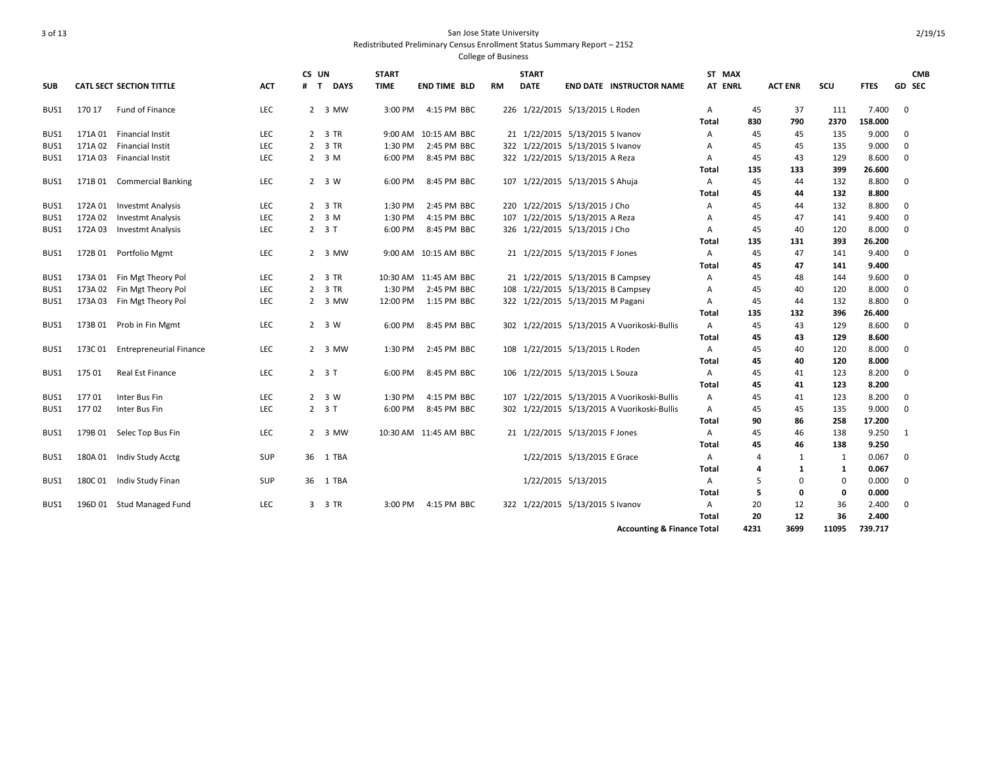College of Business

|            |         |                                |            | CS UN |                     | <b>START</b> |                       |     | <b>START</b> |                                  |                                             | ST MAX                         |           |                |             |                 | <b>CMB</b>    |
|------------|---------|--------------------------------|------------|-------|---------------------|--------------|-----------------------|-----|--------------|----------------------------------|---------------------------------------------|--------------------------------|-----------|----------------|-------------|-----------------|---------------|
| <b>SUB</b> |         | CATL SECT SECTION TITTLE       | <b>ACT</b> | $#$ T | <b>DAYS</b>         | <b>TIME</b>  | <b>END TIME BLD</b>   | RM  | <b>DATE</b>  |                                  | <b>END DATE INSTRUCTOR NAME</b>             | AT ENRL                        |           | <b>ACT ENR</b> | scu         | <b>FTES</b>     | <b>GD SEC</b> |
| BUS1       | 170 17  | Fund of Finance                | <b>LEC</b> |       | 2 3 MW              | 3:00 PM      | 4:15 PM BBC           |     |              | 226 1/22/2015 5/13/2015 L Roden  |                                             | $\mathsf{A}$                   | 45        | 37             | 111         | 7.400           | $\mathbf{0}$  |
|            |         |                                |            |       |                     |              |                       |     |              |                                  |                                             | Total                          | 830       | 790            | 2370        | 158.000         |               |
| BUS1       |         | 171A 01 Financial Instit       | <b>LEC</b> |       | 2 3 TR              |              | 9:00 AM 10:15 AM BBC  |     |              | 21 1/22/2015 5/13/2015 S Ivanov  |                                             | A                              | 45        | 45             | 135         | 9.000           | $\mathbf 0$   |
| BUS1       | 171A 02 | Financial Instit               | LEC        |       | 2 3 TR              | 1:30 PM      | 2:45 PM BBC           |     |              | 322 1/22/2015 5/13/2015 S Ivanov |                                             | A                              | 45        | 45             | 135         | 9.000           | 0             |
| BUS1       |         | 171A 03 Financial Instit       | <b>LEC</b> |       | $2 \quad 3 \quad M$ | 6:00 PM      | 8:45 PM BBC           |     |              | 322 1/22/2015 5/13/2015 A Reza   |                                             | A                              | 45        | 43             | 129         | 8.600           | $\mathbf{0}$  |
|            |         |                                |            |       |                     |              |                       |     |              |                                  |                                             | Total                          | 135       | 133            | 399         | 26.600          |               |
| BUS1       | 171B 01 | <b>Commercial Banking</b>      | <b>LEC</b> |       | 2 3 W               | 6:00 PM      | 8:45 PM BBC           |     |              | 107 1/22/2015 5/13/2015 S Ahuja  |                                             | $\overline{A}$                 | 45        | 44             | 132         | 8.800           | $\mathbf{0}$  |
|            |         |                                |            |       |                     |              |                       |     |              |                                  |                                             | Total                          | 45        | 44             | 132         | 8.800           |               |
| BUS1       | 172A 01 | Investmt Analysis              | <b>LEC</b> |       | 2 3 TR              | 1:30 PM      | 2:45 PM BBC           |     |              | 220 1/22/2015 5/13/2015 J Cho    |                                             | Α                              | 45        | 44             | 132         | 8.800           | 0             |
| BUS1       | 172A 02 | <b>Investmt Analysis</b>       | <b>LEC</b> |       | $2 \quad 3 \quad M$ | 1:30 PM      | 4:15 PM BBC           |     |              | 107 1/22/2015 5/13/2015 A Reza   |                                             | А                              | 45        | 47             | 141         | 9.400           | 0             |
| BUS1       | 172A 03 | Investmt Analysis              | <b>LEC</b> |       | $23$ T              | 6:00 PM      | 8:45 PM BBC           |     |              | 326 1/22/2015 5/13/2015 J Cho    |                                             | Α                              | 45        | 40             | 120         | 8.000           | 0             |
|            |         |                                |            |       |                     |              |                       |     |              |                                  |                                             | Total                          | 135       | 131            | 393         | 26.200          |               |
| BUS1       | 172B 01 | Portfolio Mgmt                 | <b>LEC</b> |       | 2 3 MW              |              | 9:00 AM 10:15 AM BBC  |     |              | 21 1/22/2015 5/13/2015 F Jones   |                                             | $\overline{A}$                 | 45        | 47             | 141         | 9.400           | 0             |
|            |         |                                |            |       |                     |              |                       |     |              |                                  |                                             | Total                          | 45        | 47             | 141         | 9.400           |               |
| BUS1       | 173A 01 | Fin Mgt Theory Pol             | <b>LEC</b> |       | 2 3 TR              |              | 10:30 AM 11:45 AM BBC |     |              |                                  | 21 1/22/2015 5/13/2015 B Campsey            | Α                              | 45        | 48             | 144         | 9.600           | 0             |
| BUS1       | 173A 02 | Fin Mgt Theory Pol             | <b>LEC</b> |       | 2 3 TR              | 1:30 PM      | 2:45 PM BBC           |     |              |                                  | 108 1/22/2015 5/13/2015 B Campsey           | A                              | 45        | 40             | 120         | 8.000           | 0             |
| BUS1       | 173A 03 | Fin Mgt Theory Pol             | LEC        |       | 2 3 MW              | 12:00 PM     | 1:15 PM BBC           |     |              | 322 1/22/2015 5/13/2015 M Pagani |                                             | Α                              | 45        | 44             | 132         | 8.800           | 0             |
| BUS1       | 173B01  | Prob in Fin Mgmt               |            |       |                     | 6:00 PM      | 8:45 PM BBC           |     |              |                                  | 302 1/22/2015 5/13/2015 A Vuorikoski-Bullis | <b>Total</b><br>$\overline{A}$ | 135<br>45 | 132            | 396<br>129  | 26.400<br>8.600 | $\mathbf 0$   |
|            |         |                                | <b>LEC</b> |       | 2 3 W               |              |                       |     |              |                                  |                                             | Total                          | 45        | 43<br>43       | 129         | 8.600           |               |
| BUS1       | 173C 01 | <b>Entrepreneurial Finance</b> | LEC        |       | 2 3 MW              | 1:30 PM      | 2:45 PM BBC           |     |              | 108 1/22/2015 5/13/2015 L Roden  |                                             | $\overline{A}$                 | 45        | 40             | 120         | 8.000           | $\mathbf 0$   |
|            |         |                                |            |       |                     |              |                       |     |              |                                  |                                             | Total                          | 45        | 40             | 120         | 8.000           |               |
| BUS1       | 175 01  | Real Est Finance               | LEC        |       | $23$ T              | 6:00 PM      | 8:45 PM BBC           |     |              | 106 1/22/2015 5/13/2015 L Souza  |                                             | $\overline{A}$                 | 45        | 41             | 123         | 8.200           | $\mathbf 0$   |
|            |         |                                |            |       |                     |              |                       |     |              |                                  |                                             | Total                          | 45        | 41             | 123         | 8.200           |               |
| BUS1       | 17701   | Inter Bus Fin                  | LEC        |       | $2 \quad 3 \quad W$ | 1:30 PM      | 4:15 PM BBC           |     |              |                                  | 107 1/22/2015 5/13/2015 A Vuorikoski-Bullis | Α                              | 45        | 41             | 123         | 8.200           | 0             |
| BUS1       | 17702   | Inter Bus Fin                  | LEC        |       | $2 \quad 3 \quad T$ | 6:00 PM      | 8:45 PM BBC           |     |              |                                  | 302 1/22/2015 5/13/2015 A Vuorikoski-Bullis | Α                              | 45        | 45             | 135         | 9.000           | 0             |
|            |         |                                |            |       |                     |              |                       |     |              |                                  |                                             | Total                          | 90        | 86             | 258         | 17.200          |               |
| BUS1       | 179B 01 | Selec Top Bus Fin              | <b>LEC</b> |       | 2 3 MW              |              | 10:30 AM 11:45 AM BBC |     |              | 21 1/22/2015 5/13/2015 F Jones   |                                             | Α                              | 45        | 46             | 138         | 9.250           | $\mathbf{1}$  |
|            |         |                                |            |       |                     |              |                       |     |              |                                  |                                             | Total                          | 45        | 46             | 138         | 9.250           |               |
| BUS1       | 180A 01 | Indiv Study Acctg              | <b>SUP</b> | 36    | 1 TBA               |              |                       |     |              | 1/22/2015 5/13/2015 E Grace      |                                             | $\overline{A}$                 | 4         | 1              | 1           | 0.067           | $\mathbf 0$   |
|            |         |                                |            |       |                     |              |                       |     |              |                                  |                                             | Total                          | 4         | 1              | 1           | 0.067           |               |
| BUS1       | 180C01  | Indiv Study Finan              | <b>SUP</b> | 36    | 1 TBA               |              |                       |     |              | 1/22/2015 5/13/2015              |                                             | A                              | 5         | $\mathbf 0$    | $\mathbf 0$ | 0.000           | 0             |
|            |         |                                |            |       |                     |              |                       |     |              |                                  |                                             | Total                          | 5         | 0              | 0           | 0.000           |               |
| BUS1       | 196D 01 | <b>Stud Managed Fund</b>       | <b>LEC</b> |       | 3 3 TR              | 3:00 PM      | 4:15 PM BBC           | 322 |              | 1/22/2015 5/13/2015 S Ivanov     |                                             | A                              | 20        | 12             | 36          | 2.400           | 0             |
|            |         |                                |            |       |                     |              |                       |     |              |                                  |                                             | Total                          | 20        | 12             | 36          | 2.400           |               |

**Accounting & Finance Total 4231 3699 11095 739.717**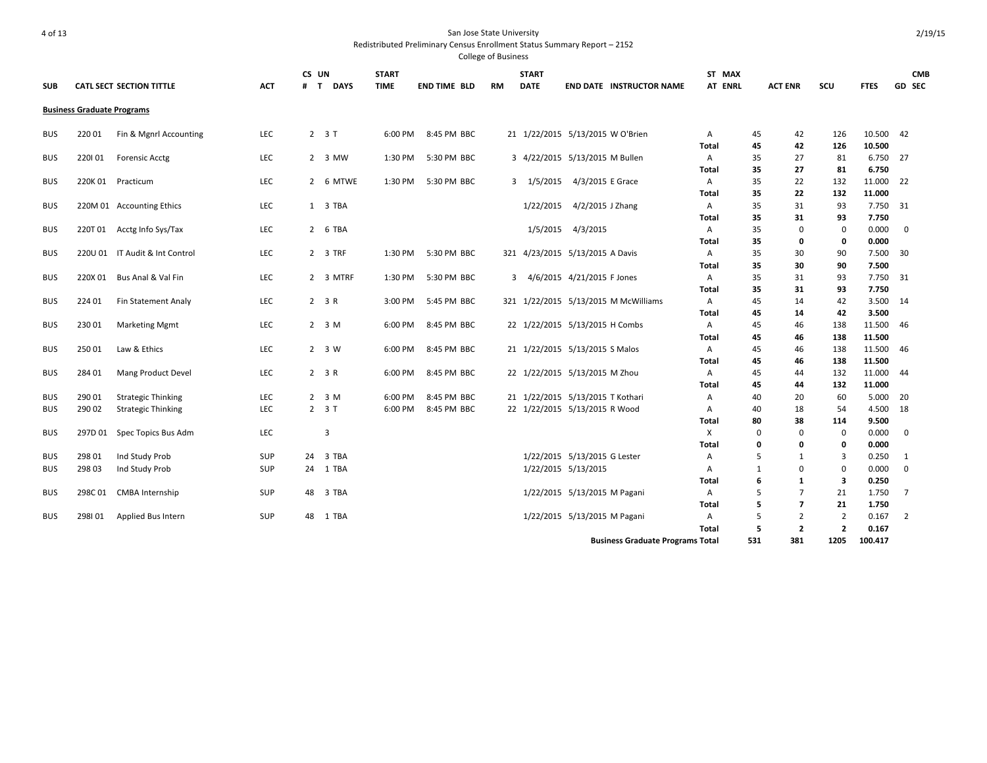| <b>SUB</b> |                                   | <b>CATL SECT SECTION TITTLE</b> | <b>ACT</b> | CS UN<br>$#$ T | <b>DAYS</b>         | <b>START</b><br><b>TIME</b> | <b>END TIME BLD</b> | <b>RM</b> | <b>START</b><br><b>DATE</b>      |                              | <b>END DATE INSTRUCTOR NAME</b>         | ST MAX<br>AT ENRL |          | <b>ACT ENR</b> | SCU                     | <b>FTES</b>      | <b>CMB</b><br>GD SEC |
|------------|-----------------------------------|---------------------------------|------------|----------------|---------------------|-----------------------------|---------------------|-----------|----------------------------------|------------------------------|-----------------------------------------|-------------------|----------|----------------|-------------------------|------------------|----------------------|
|            | <b>Business Graduate Programs</b> |                                 |            |                |                     |                             |                     |           |                                  |                              |                                         |                   |          |                |                         |                  |                      |
| <b>BUS</b> | 220 01                            | Fin & Mgnrl Accounting          | <b>LEC</b> |                | $2 \quad 3 \quad T$ | 6:00 PM                     | 8:45 PM BBC         |           | 21 1/22/2015 5/13/2015 W O'Brien |                              |                                         | A                 | 45       | 42             | 126                     | 10.500 42        |                      |
|            |                                   |                                 |            |                |                     |                             |                     |           |                                  |                              |                                         | Total             | 45       | 42             | 126                     | 10.500           |                      |
| <b>BUS</b> | 220101                            | <b>Forensic Acctg</b>           | LEC        |                | 2 3 MW              | 1:30 PM                     | 5:30 PM BBC         |           | 3 4/22/2015 5/13/2015 M Bullen   |                              |                                         | A                 | 35       | 27             | 81                      | 6.750 27         |                      |
|            |                                   |                                 |            |                |                     |                             |                     |           |                                  |                              |                                         | Total             | 35       | 27             | 81                      | 6.750            |                      |
| <b>BUS</b> | 220K01                            | Practicum                       | LEC        |                | 2 6 MTWE            | 1:30 PM                     | 5:30 PM BBC         |           | 3 1/5/2015                       | 4/3/2015 E Grace             |                                         | A                 | 35       | 22             | 132                     | 11.000 22        |                      |
|            |                                   |                                 |            |                |                     |                             |                     |           |                                  |                              |                                         | Total             | 35       | 22             | 132                     | 11.000           |                      |
| <b>BUS</b> |                                   | 220M 01 Accounting Ethics       | LEC        |                | 1 3 TBA             |                             |                     |           | 1/22/2015                        | 4/2/2015 J Zhang             |                                         | A                 | 35       | 31             | 93                      | 7.750 31         |                      |
|            |                                   |                                 |            |                |                     |                             |                     |           |                                  |                              |                                         | Total             | 35       | 31             | 93                      | 7.750            |                      |
| <b>BUS</b> | 220T 01                           | Acctg Info Sys/Tax              | LEC        |                | 2 6 TBA             |                             |                     |           | 1/5/2015                         | 4/3/2015                     |                                         | A                 | 35       | $\Omega$       | 0                       | 0.000            | 0                    |
|            |                                   |                                 |            |                |                     |                             |                     |           |                                  |                              |                                         | Total             | 35       | 0              | 0                       | 0.000            |                      |
| <b>BUS</b> |                                   | 220U 01 IT Audit & Int Control  | LEC        |                | 2 3 TRF             | 1:30 PM                     | 5:30 PM BBC         |           | 321 4/23/2015 5/13/2015 A Davis  |                              |                                         | A                 | 35       | 30             | 90                      | 7.500 30         |                      |
|            |                                   |                                 |            |                |                     |                             |                     |           |                                  |                              |                                         | Total             | 35       | 30             | 90                      | 7.500            |                      |
| <b>BUS</b> | 220X 01                           | Bus Anal & Val Fin              | LEC        |                | 2 3 MTRF            | 1:30 PM                     | 5:30 PM BBC         | 3         | 4/6/2015 4/21/2015 F Jones       |                              |                                         | A                 | 35       | 31             | 93                      | 7.750 31         |                      |
|            |                                   |                                 |            |                |                     |                             |                     |           |                                  |                              |                                         | <b>Total</b>      | 35       | 31             | 93                      | 7.750            |                      |
| <b>BUS</b> | 224 01                            | Fin Statement Analy             | <b>LEC</b> |                | 2 3 R               | 3:00 PM                     | 5:45 PM BBC         |           |                                  |                              | 321 1/22/2015 5/13/2015 M McWilliams    | Α                 | 45       | 14             | 42                      | 3.500 14         |                      |
|            |                                   |                                 |            |                |                     |                             |                     |           |                                  |                              |                                         | Total             | 45       | 14             | 42                      | 3.500            |                      |
| <b>BUS</b> | 230 01                            | <b>Marketing Mgmt</b>           | LEC        |                | 2 <sub>3</sub> M    | 6:00 PM                     | 8:45 PM BBC         |           | 22 1/22/2015 5/13/2015 H Combs   |                              |                                         | A                 | 45       | 46             | 138                     | 11.500           | - 46                 |
|            |                                   |                                 |            |                |                     |                             |                     |           |                                  |                              |                                         | <b>Total</b>      | 45       | 46             | 138                     | 11.500           |                      |
| <b>BUS</b> | 250 01                            | Law & Ethics                    | LEC        |                | 2 3 W               | 6:00 PM                     | 8:45 PM BBC         |           | 21 1/22/2015 5/13/2015 S Malos   |                              |                                         | A<br>Total        | 45<br>45 | 46<br>46       | 138<br>138              | 11.500<br>11.500 | - 46                 |
| <b>BUS</b> | 284 01                            | Mang Product Devel              | LEC        |                | 2 3 R               | 6:00 PM                     | 8:45 PM BBC         |           | 22 1/22/2015 5/13/2015 M Zhou    |                              |                                         | Α                 | 45       | 44             | 132                     | 11.000           | -44                  |
|            |                                   |                                 |            |                |                     |                             |                     |           |                                  |                              |                                         | Total             | 45       | 44             | 132                     | 11.000           |                      |
| <b>BUS</b> | 290 01                            | <b>Strategic Thinking</b>       | LEC        |                | 2 <sub>3</sub> M    | 6:00 PM                     | 8:45 PM BBC         |           | 21 1/22/2015 5/13/2015 T Kothari |                              |                                         | Α                 | 40       | 20             | 60                      | 5.000            | - 20                 |
| <b>BUS</b> | 290 02                            | <b>Strategic Thinking</b>       | LEC        |                | $2 \t3 T$           | 6:00 PM                     | 8:45 PM BBC         |           | 22 1/22/2015 5/13/2015 R Wood    |                              |                                         | Α                 | 40       | 18             | 54                      | 4.500 18         |                      |
|            |                                   |                                 |            |                |                     |                             |                     |           |                                  |                              |                                         | Total             | 80       | 38             | 114                     | 9.500            |                      |
| <b>BUS</b> | 297D 01                           | Spec Topics Bus Adm             | <b>LEC</b> |                | 3                   |                             |                     |           |                                  |                              |                                         | X                 | 0        | $\Omega$       | 0                       | 0.000            | $\mathbf{0}$         |
|            |                                   |                                 |            |                |                     |                             |                     |           |                                  |                              |                                         | Total             | 0        | 0              | $\mathbf 0$             | 0.000            |                      |
| <b>BUS</b> | 298 01                            | Ind Study Prob                  | <b>SUP</b> | 24             | 3 TBA               |                             |                     |           | 1/22/2015 5/13/2015 G Lester     |                              |                                         | $\overline{A}$    | 5        | 1              | 3                       | 0.250            | $\overline{1}$       |
| <b>BUS</b> | 298 03                            | Ind Study Prob                  | <b>SUP</b> |                | 24 1 TBA            |                             |                     |           | 1/22/2015 5/13/2015              |                              |                                         | $\overline{A}$    | 1        | $\Omega$       | $\Omega$                | 0.000            | $\mathbf 0$          |
|            |                                   |                                 |            |                |                     |                             |                     |           |                                  |                              |                                         | Total             | 6        | 1              | $\overline{\mathbf{3}}$ | 0.250            |                      |
| <b>BUS</b> | 298C 01                           | CMBA Internship                 | <b>SUP</b> | 48             | 3 TBA               |                             |                     |           |                                  | 1/22/2015 5/13/2015 M Pagani |                                         | A                 | 5        | $\overline{7}$ | 21                      | 1.750            | $\overline{7}$       |
|            |                                   |                                 |            |                |                     |                             |                     |           |                                  |                              |                                         | Total             | 5        | $\overline{7}$ | 21                      | 1.750            |                      |
| <b>BUS</b> | 298101                            | Applied Bus Intern              | <b>SUP</b> | 48             | 1 TBA               |                             |                     |           | 1/22/2015 5/13/2015 M Pagani     |                              |                                         | Α                 | 5        | $\overline{2}$ | $\overline{2}$          | 0.167            | $\overline{2}$       |
|            |                                   |                                 |            |                |                     |                             |                     |           |                                  |                              |                                         | Total             | 5        | $\mathbf{2}$   | $\overline{2}$          | 0.167            |                      |
|            |                                   |                                 |            |                |                     |                             |                     |           |                                  |                              | <b>Business Graduate Programs Total</b> |                   | 531      | 381            | 1205                    | 100.417          |                      |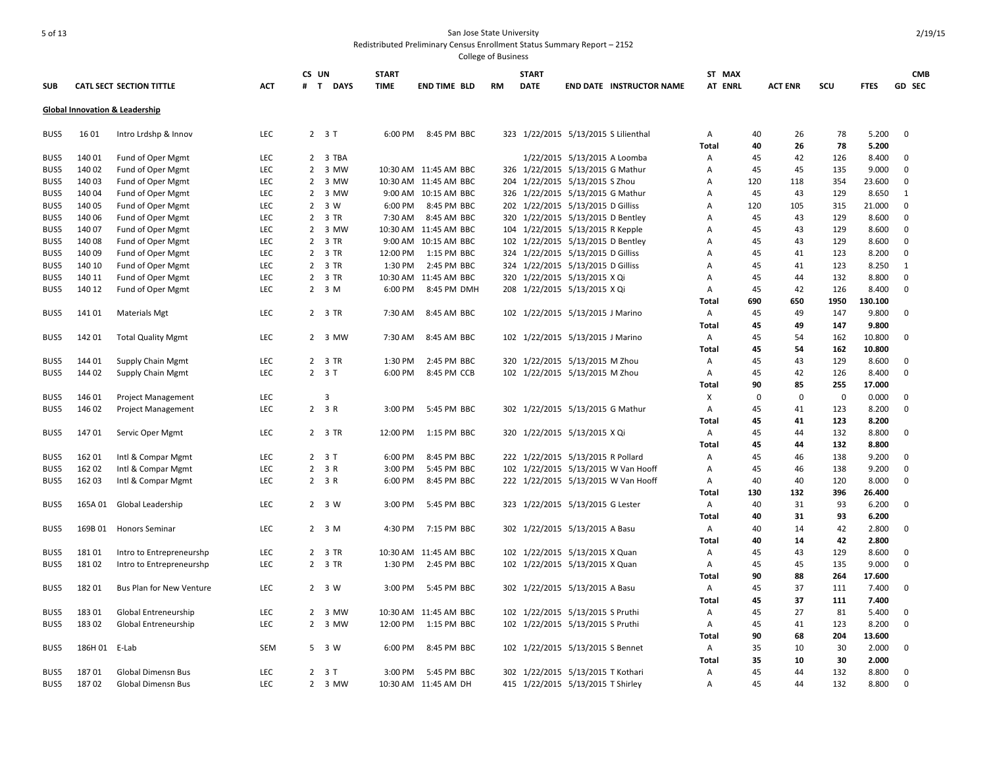|            |         |                                 |            | CS UN          |                     | <b>START</b> |                       |           | <b>START</b> |                                      | ST MAX         |          |                |             |                | <b>CMB</b>  |
|------------|---------|---------------------------------|------------|----------------|---------------------|--------------|-----------------------|-----------|--------------|--------------------------------------|----------------|----------|----------------|-------------|----------------|-------------|
| <b>SUB</b> |         | <b>CATL SECT SECTION TITTLE</b> | <b>ACT</b> |                | # T DAYS            | <b>TIME</b>  | <b>END TIME BLD</b>   | <b>RM</b> | <b>DATE</b>  | <b>END DATE INSTRUCTOR NAME</b>      | AT ENRL        |          | <b>ACT ENR</b> | scu         | <b>FTES</b>    | GD SEC      |
|            |         | Global Innovation & Leadership  |            |                |                     |              |                       |           |              |                                      |                |          |                |             |                |             |
|            |         |                                 |            |                |                     |              |                       |           |              |                                      |                |          |                |             |                |             |
| BUS5       | 16 01   | Intro Lrdshp & Innov            | LEC        |                | $2 \quad 3 \quad T$ | 6:00 PM      | 8:45 PM BBC           |           |              | 323 1/22/2015 5/13/2015 S Lilienthal | Α<br>Total     | 40<br>40 | 26<br>26       | 78<br>78    | 5.200<br>5.200 | $\mathbf 0$ |
| BUS5       | 140 01  | Fund of Oper Mgmt               | <b>LEC</b> |                | 2 3 TBA             |              |                       |           |              | 1/22/2015 5/13/2015 A Loomba         | Α              | 45       | 42             | 126         | 8.400          | 0           |
| BUS5       | 140 02  | Fund of Oper Mgmt               | LEC        |                | 2 3 MW              |              | 10:30 AM 11:45 AM BBC |           |              | 326 1/22/2015 5/13/2015 G Mathur     | A              | 45       | 45             | 135         | 9.000          | $\mathbf 0$ |
| BUS5       | 140 03  | Fund of Oper Mgmt               | LEC        |                | 2 3 MW              |              | 10:30 AM 11:45 AM BBC |           |              | 204 1/22/2015 5/13/2015 S Zhou       | A              | 120      | 118            | 354         | 23.600         | $\mathbf 0$ |
| BUS5       | 140 04  | Fund of Oper Mgmt               | LEC        |                | 2 3 MW              |              | 9:00 AM 10:15 AM BBC  |           |              | 326 1/22/2015 5/13/2015 G Mathur     | Α              | 45       | 43             | 129         | 8.650          | 1           |
| BUS5       | 140 05  | Fund of Oper Mgmt               | LEC        | $\overline{2}$ | 3 W                 | 6:00 PM      | 8:45 PM BBC           |           |              | 202 1/22/2015 5/13/2015 D Gilliss    | A              | 120      | 105            | 315         | 21.000         | $\Omega$    |
| BUS5       | 140 06  | Fund of Oper Mgmt               | LEC        |                | 2 3 TR              | 7:30 AM      | 8:45 AM BBC           |           |              | 320 1/22/2015 5/13/2015 D Bentley    | A              | 45       | 43             | 129         | 8.600          | $\mathbf 0$ |
| BUS5       | 140 07  | Fund of Oper Mgmt               | LEC        | $\overline{2}$ | 3 MW                |              | 10:30 AM 11:45 AM BBC | 104       |              | 1/22/2015 5/13/2015 R Kepple         | A              | 45       | 43             | 129         | 8.600          | $\mathbf 0$ |
| BUS5       | 140 08  |                                 | LEC        |                | 2 3 TR              |              | 9:00 AM 10:15 AM BBC  |           |              | 102 1/22/2015 5/13/2015 D Bentley    | Α              | 45       | 43             | 129         | 8.600          | $\Omega$    |
| BUS5       | 140 09  | Fund of Oper Mgmt               | <b>LEC</b> |                | 2 3 TR              | 12:00 PM     | 1:15 PM BBC           |           |              |                                      | $\overline{A}$ | 45       | 41             | 123         | 8.200          | $\mathbf 0$ |
|            |         | Fund of Oper Mgmt               |            |                |                     |              |                       |           |              | 324 1/22/2015 5/13/2015 D Gilliss    |                |          |                |             |                |             |
| BUS5       | 140 10  | Fund of Oper Mgmt               | LEC        |                | 2 3 TR              | 1:30 PM      | 2:45 PM BBC           |           |              | 324 1/22/2015 5/13/2015 D Gilliss    | A              | 45       | 41             | 123         | 8.250          | 1           |
| BUS5       | 140 11  | Fund of Oper Mgmt               | LEC        |                | 2 3 TR              |              | 10:30 AM 11:45 AM BBC |           |              | 320 1/22/2015 5/13/2015 X Qi         | A              | 45       | 44             | 132         | 8.800          | $\mathbf 0$ |
| BUS5       | 140 12  | Fund of Oper Mgmt               | LEC        |                | $2 \quad 3 \quad M$ | 6:00 PM      | 8:45 PM DMH           |           |              | 208 1/22/2015 5/13/2015 X Qi         | Α              | 45       | 42             | 126         | 8.400          | $\mathbf 0$ |
|            |         |                                 |            |                |                     |              |                       |           |              |                                      | Total          | 690      | 650            | 1950        | 130.100        |             |
| BUS5       | 141 01  | <b>Materials Mgt</b>            | <b>LEC</b> |                | 2 3 TR              | 7:30 AM      | 8:45 AM BBC           |           |              | 102 1/22/2015 5/13/2015 J Marino     | Α              | 45       | 49             | 147         | 9.800          | $\mathbf 0$ |
|            |         |                                 |            |                |                     |              |                       |           |              |                                      | Total          | 45       | 49             | 147         | 9.800          |             |
| BUS5       | 142 01  | <b>Total Quality Mgmt</b>       | <b>LEC</b> |                | 2 3 MW              | 7:30 AM      | 8:45 AM BBC           |           |              | 102 1/22/2015 5/13/2015 J Marino     | Α              | 45       | 54             | 162         | 10.800         | $\Omega$    |
|            |         |                                 |            |                |                     |              |                       |           |              |                                      | Total          | 45       | 54             | 162         | 10.800         |             |
| BUS5       | 144 01  | Supply Chain Mgmt               | LEC        |                | 2 3 TR              | 1:30 PM      | 2:45 PM BBC           |           |              | 320 1/22/2015 5/13/2015 M Zhou       | Α              | 45       | 43             | 129         | 8.600          | $\mathbf 0$ |
| BUS5       | 144 02  | Supply Chain Mgmt               | LEC        |                | $2 \t3 T$           | 6:00 PM      | 8:45 PM CCB           |           |              | 102 1/22/2015 5/13/2015 M Zhou       | Α              | 45       | 42             | 126         | 8.400          | $\mathbf 0$ |
|            |         |                                 |            |                |                     |              |                       |           |              |                                      | Total          | 90       | 85             | 255         | 17.000         |             |
| BUS5       | 146 01  | Project Management              | LEC        |                | 3                   |              |                       |           |              |                                      | X              | $\Omega$ | $\Omega$       | $\mathbf 0$ | 0.000          | $\mathbf 0$ |
| BUS5       | 146 02  | Project Management              | <b>LEC</b> |                | 2 3 R               | 3:00 PM      | 5:45 PM BBC           |           |              | 302 1/22/2015 5/13/2015 G Mathur     | Α              | 45       | 41             | 123         | 8.200          | $\Omega$    |
|            |         |                                 |            |                |                     |              |                       |           |              |                                      | Total          | 45       | 41             | 123         | 8.200          |             |
| BUS5       | 147 01  | Servic Oper Mgmt                | LEC        |                | 2 3 TR              | 12:00 PM     | 1:15 PM BBC           | 320       |              | 1/22/2015 5/13/2015 X Qi             | Α              | 45       | 44             | 132         | 8.800          | $\mathbf 0$ |
|            |         |                                 |            |                |                     |              |                       |           |              |                                      | Total          | 45       | 44             | 132         | 8.800          |             |
| BUS5       | 162 01  | Intl & Compar Mgmt              | <b>LEC</b> |                | $2 \t3 T$           | 6:00 PM      | 8:45 PM BBC           |           |              | 222 1/22/2015 5/13/2015 R Pollard    | A              | 45       | 46             | 138         | 9.200          | 0           |
| BUS5       | 162 02  | Intl & Compar Mgmt              | LEC        |                | 2 3 R               | 3:00 PM      | 5:45 PM BBC           | 102       |              | 1/22/2015 5/13/2015 W Van Hooff      | A              | 45       | 46             | 138         | 9.200          | $\mathbf 0$ |
| BUS5       | 162 03  | Intl & Compar Mgmt              | LEC        |                | $2 \t3 R$           | 6:00 PM      | 8:45 PM BBC           |           |              | 222 1/22/2015 5/13/2015 W Van Hooff  | Α              | 40       | 40             | 120         | 8.000          | $\mathbf 0$ |
|            |         |                                 |            |                |                     |              |                       |           |              |                                      | Total          | 130      | 132            | 396         | 26.400         |             |
| BUS5       | 165A 01 | Global Leadership               | <b>LEC</b> |                | 2 3 W               | 3:00 PM      | 5:45 PM BBC           |           |              | 323 1/22/2015 5/13/2015 G Lester     | Α              | 40       | 31             | 93          | 6.200          | $\Omega$    |
|            |         |                                 |            |                |                     |              |                       |           |              |                                      | <b>Total</b>   | 40       | 31             | 93          | 6.200          |             |
| BUS5       | 169B 01 | <b>Honors Seminar</b>           | LEC        |                | $2 \quad 3 \quad M$ | 4:30 PM      | 7:15 PM BBC           |           |              | 302 1/22/2015 5/13/2015 A Basu       | Α              | 40       | 14             | 42          | 2.800          | $\mathbf 0$ |
|            |         |                                 |            |                |                     |              |                       |           |              |                                      | Total          | 40       | 14             | 42          | 2.800          |             |
| BUS5       | 18101   | Intro to Entrepreneurshp        | LEC        |                | 2 3 TR              |              | 10:30 AM 11:45 AM BBC |           |              | 102 1/22/2015 5/13/2015 X Quan       | Α              | 45       | 43             | 129         | 8.600          | $\Omega$    |
| BUS5       | 18102   | Intro to Entrepreneurshp        | <b>LEC</b> |                | 2 3 TR              | 1:30 PM      | 2:45 PM BBC           |           |              | 102 1/22/2015 5/13/2015 X Quan       | Α              | 45       | 45             | 135         | 9.000          | $\Omega$    |
|            |         |                                 |            |                |                     |              |                       |           |              |                                      | Total          | 90       | 88             | 264         | 17.600         |             |
| BUS5       | 18201   | <b>Bus Plan for New Venture</b> | <b>LEC</b> |                | $2 \quad 3 \quad W$ | 3:00 PM      | 5:45 PM BBC           |           |              | 302 1/22/2015 5/13/2015 A Basu       | Α              | 45       | 37             | 111         | 7.400          | $\Omega$    |
|            |         |                                 |            |                |                     |              |                       |           |              |                                      | Total          | 45       | 37             | 111         | 7.400          |             |
| BUS5       | 18301   | Global Entreneurship            | LEC        |                | 2 3 MW              |              | 10:30 AM 11:45 AM BBC |           |              | 102 1/22/2015 5/13/2015 S Pruthi     | Α              | 45       | 27             | 81          | 5.400          | 0           |
| BUS5       | 18302   | Global Entreneurship            | LEC        |                | 2 3 MW              | 12:00 PM     | 1:15 PM BBC           |           |              | 102 1/22/2015 5/13/2015 S Pruthi     | Α              | 45       | 41             | 123         | 8.200          | $\mathbf 0$ |
|            |         |                                 |            |                |                     |              |                       |           |              |                                      | Total          | 90       | 68             | 204         | 13.600         |             |
| BUS5       | 186H 01 | E-Lab                           | SEM        |                | 5 3 W               | 6:00 PM      | 8:45 PM BBC           | 102       |              | 1/22/2015 5/13/2015 S Bennet         | Α              | 35       | 10             | 30          | 2.000          | $\Omega$    |
|            |         |                                 |            |                |                     |              |                       |           |              |                                      | Total          | 35       | 10             | 30          | 2.000          |             |
| BUS5       | 18701   | Global Dimensn Bus              | LEC        |                | $2 \t3 T$           | 3:00 PM      | 5:45 PM BBC           |           |              | 302 1/22/2015 5/13/2015 T Kothari    | A              | 45       | 44             | 132         | 8.800          | $\mathbf 0$ |
| BUS5       | 18702   | Global Dimensn Bus              | LEC        |                | 2 3 MW              |              | 10:30 AM 11:45 AM DH  |           |              | 415 1/22/2015 5/13/2015 T Shirley    | A              | 45       | 44             | 132         | 8.800          | $\Omega$    |
|            |         |                                 |            |                |                     |              |                       |           |              |                                      |                |          |                |             |                |             |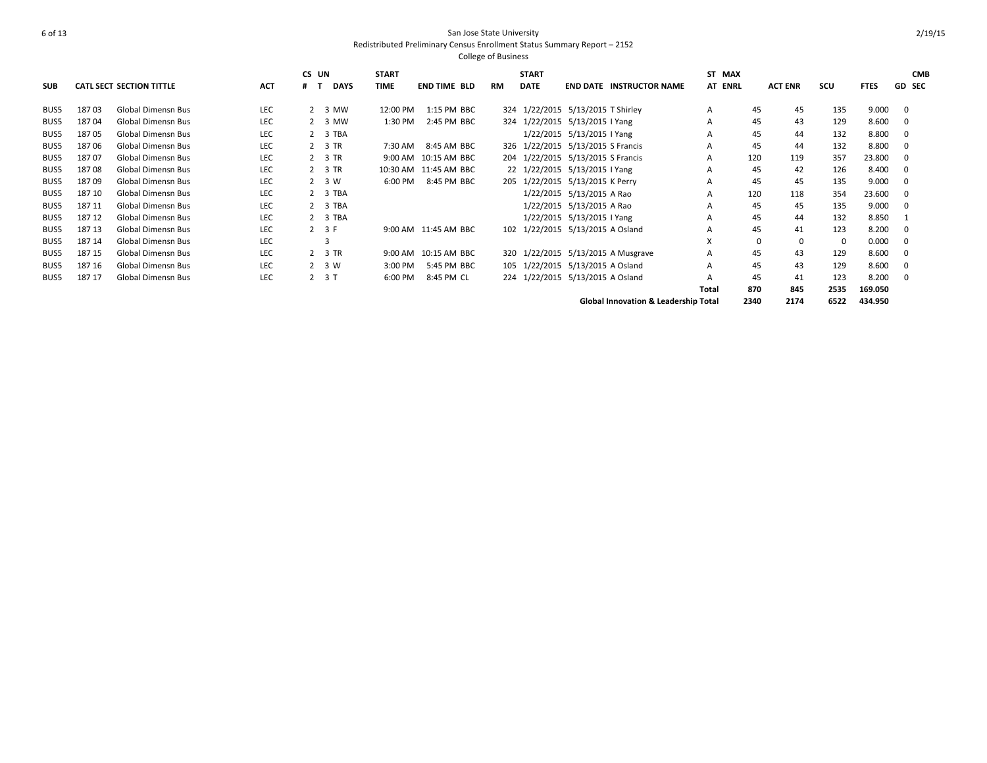|            |        |                           |            | CS UN |             | <b>START</b> |                       |           | <b>START</b> |                                                 | ST MAX  |             |                |          |             | <b>CMB</b>    |
|------------|--------|---------------------------|------------|-------|-------------|--------------|-----------------------|-----------|--------------|-------------------------------------------------|---------|-------------|----------------|----------|-------------|---------------|
| <b>SUB</b> |        | CATL SECT SECTION TITTLE  | <b>ACT</b> |       | <b>DAYS</b> | <b>TIME</b>  | <b>END TIME BLD</b>   | <b>RM</b> | <b>DATE</b>  | <b>END DATE INSTRUCTOR NAME</b>                 | AT ENRL |             | <b>ACT ENR</b> | scu      | <b>FTES</b> | <b>GD SEC</b> |
| BUS5       | 18703  | <b>Global Dimensn Bus</b> | LEC        |       | 2 3 MW      | 12:00 PM     | 1:15 PM BBC           |           |              | 324 1/22/2015 5/13/2015 T Shirley               | A       | 45          | 45             | 135      | 9.000       | - 0           |
| BUS5       | 18704  | <b>Global Dimensn Bus</b> | LEC        |       | 2 3 MW      | 1:30 PM      | 2:45 PM BBC           | 324       |              | 1/22/2015 5/13/2015   Yang                      | A       | 45          | 43             | 129      | 8.600       | 0             |
| BUS5       | 18705  | <b>Global Dimensn Bus</b> | <b>LEC</b> |       | 2 3 TBA     |              |                       |           |              | 1/22/2015 5/13/2015   Yang                      | A       | 45          | 44             | 132      | 8.800       | 0             |
| BUS5       | 18706  | <b>Global Dimensn Bus</b> | <b>LEC</b> |       | 2 3 TR      | 7:30 AM      | 8:45 AM BBC           |           |              | 326 1/22/2015 5/13/2015 S Francis               | A       | 45          | 44             | 132      | 8.800       | - 0           |
| BUS5       | 18707  | <b>Global Dimensn Bus</b> | <b>LEC</b> |       | 2 3 TR      |              | 9:00 AM 10:15 AM BBC  |           |              | 204 1/22/2015 5/13/2015 S Francis               | A       | 120         | 119            | 357      | 23.800      | - 0           |
| BUS5       | 18708  | <b>Global Dimensn Bus</b> | <b>LEC</b> |       | 2 3 TR      |              | 10:30 AM 11:45 AM BBC |           |              | 22 1/22/2015 5/13/2015 I Yang                   | A       | 45          | 42             | 126      | 8.400       | - 0           |
| BUS5       | 18709  | <b>Global Dimensn Bus</b> | LEC        |       | 2 3 W       | 6:00 PM      | 8:45 PM BBC           | 205       |              | 1/22/2015 5/13/2015 K Perry                     | A       | 45          | 45             | 135      | 9.000       | - 0           |
| BUS5       | 187 10 | <b>Global Dimensn Bus</b> | LEC        |       | 2 3 TBA     |              |                       |           |              | 1/22/2015 5/13/2015 A Rao                       | A       | 120         | 118            | 354      | 23.600      | $\Omega$      |
| BUS5       | 187 11 | <b>Global Dimensn Bus</b> | <b>LEC</b> |       | 2 3 TBA     |              |                       |           |              | 1/22/2015 5/13/2015 A Rao                       | A       | 45          | 45             | 135      | 9.000       | $\Omega$      |
| BUS5       | 187 12 | <b>Global Dimensn Bus</b> | <b>LEC</b> |       | 2 3 TBA     |              |                       |           |              | 1/22/2015 5/13/2015   Yang                      | A       | 45          | 44             | 132      | 8.850       |               |
| BUS5       | 187 13 | <b>Global Dimensn Bus</b> | <b>LEC</b> |       | $2 \t3F$    |              | 9:00 AM 11:45 AM BBC  |           |              | 102 1/22/2015 5/13/2015 A Osland                | A       | 45          | 41             | 123      | 8.200       | - 0           |
| BUS5       | 187 14 | <b>Global Dimensn Bus</b> | LEC        |       |             |              |                       |           |              |                                                 | x       | $\mathbf 0$ | $\mathbf 0$    | $\Omega$ | 0.000       | - 0           |
| BUS5       | 187 15 | <b>Global Dimensn Bus</b> | <b>LEC</b> |       | 2 3 TR      |              | 9:00 AM 10:15 AM BBC  |           |              | 320 1/22/2015 5/13/2015 A Musgrave              | A       | 45          | 43             | 129      | 8.600       | - 0           |
| BUS5       | 187 16 | <b>Global Dimensn Bus</b> | <b>LEC</b> |       | 2 3 W       | 3:00 PM      | 5:45 PM BBC           |           |              | 105 1/22/2015 5/13/2015 A Osland                | A       | 45          | 43             | 129      | 8.600       | - 0           |
| BUS5       | 187 17 | <b>Global Dimensn Bus</b> | <b>LEC</b> |       | $2 \t3 T$   | 6:00 PM      | 8:45 PM CL            |           |              | 224 1/22/2015 5/13/2015 A Osland                | A       | 45          | 41             | 123      | 8.200       | $\Omega$      |
|            |        |                           |            |       |             |              |                       |           |              |                                                 | Total   | 870         | 845            | 2535     | 169.050     |               |
|            |        |                           |            |       |             |              |                       |           |              | <b>Global Innovation &amp; Leadership Total</b> |         | 2340        | 2174           | 6522     | 434.950     |               |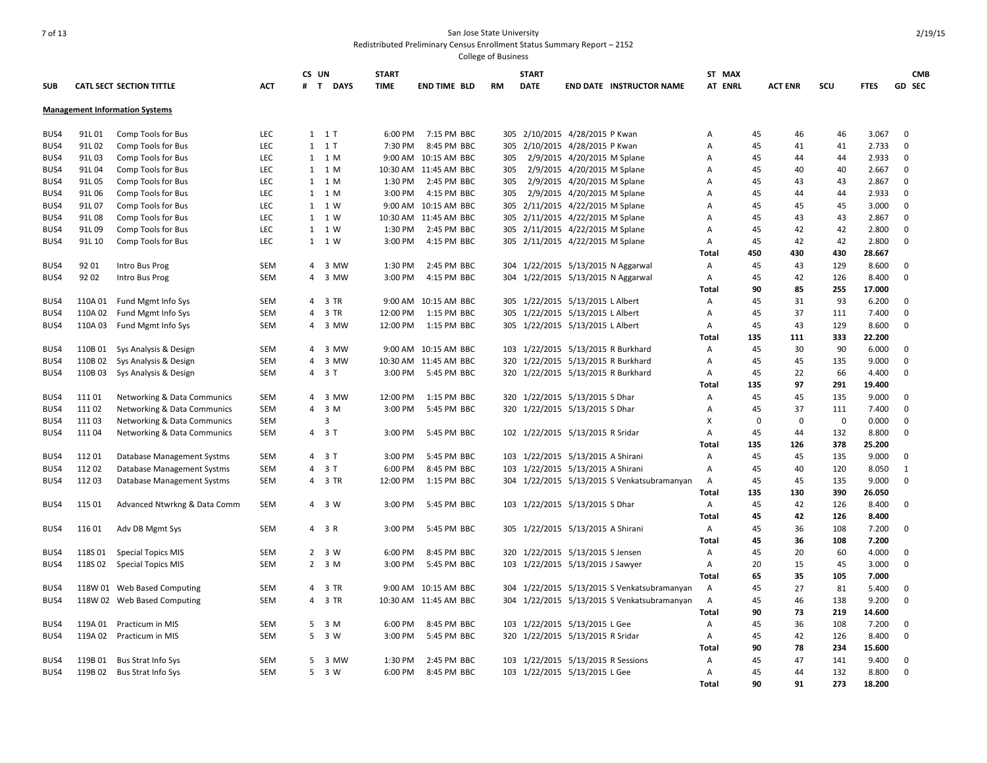| <b>SUB</b> |         | <b>CATL SECT SECTION TITTLE</b>       | <b>ACT</b> | CS UN<br>#     | $\mathbf{T}$<br><b>DAYS</b> | <b>START</b><br><b>TIME</b> | <b>END TIME BLD</b>   | <b>RM</b> | <b>START</b><br><b>DATE</b> | <b>END DATE INSTRUCTOR NAME</b>             | ST MAX<br><b>AT ENRL</b> |             | <b>ACT ENR</b> | scu         | <b>FTES</b> | <b>CMB</b><br><b>GD SEC</b> |
|------------|---------|---------------------------------------|------------|----------------|-----------------------------|-----------------------------|-----------------------|-----------|-----------------------------|---------------------------------------------|--------------------------|-------------|----------------|-------------|-------------|-----------------------------|
|            |         |                                       |            |                |                             |                             |                       |           |                             |                                             |                          |             |                |             |             |                             |
|            |         | <b>Management Information Systems</b> |            |                |                             |                             |                       |           |                             |                                             |                          |             |                |             |             |                             |
| BUS4       | 91L 01  | Comp Tools for Bus                    | LEC        |                | $1 \quad 1$ T               | 6:00 PM                     | 7:15 PM BBC           | 305       |                             | 2/10/2015 4/28/2015 P Kwan                  | А                        | 45          | 46             | 46          | 3.067       | $\mathbf 0$                 |
| BUS4       | 91L02   | Comp Tools for Bus                    | LEC        |                | $1 \quad 1$ T               | 7:30 PM                     | 8:45 PM BBC           | 305       |                             | 2/10/2015 4/28/2015 P Kwan                  | A                        | 45          | 41             | 41          | 2.733       | $\mathbf 0$                 |
| BUS4       | 91L03   | Comp Tools for Bus                    | <b>LEC</b> |                | 1 1 M                       |                             | 9:00 AM 10:15 AM BBC  | 305       |                             | 2/9/2015 4/20/2015 M Splane                 | А                        | 45          | 44             | 44          | 2.933       | $\mathbf 0$                 |
| BUS4       | 91L04   | Comp Tools for Bus                    | <b>LEC</b> |                | 1 1 M                       |                             | 10:30 AM 11:45 AM BBC | 305       |                             | 2/9/2015 4/20/2015 M Splane                 | А                        | 45          | 40             | 40          | 2.667       | $\mathbf 0$                 |
| BUS4       | 91L05   | Comp Tools for Bus                    | LEC        |                | 1 1 M                       | 1:30 PM                     | 2:45 PM BBC           | 305       |                             | 2/9/2015 4/20/2015 M Splane                 | А                        | 45          | 43             | 43          | 2.867       | $\mathbf 0$                 |
| BUS4       | 91L 06  | Comp Tools for Bus                    | LEC        |                | 1 1 M                       | 3:00 PM                     | 4:15 PM BBC           | 305       |                             | 2/9/2015 4/20/2015 M Splane                 | А                        | 45          | 44             | 44          | 2.933       | $\mathbf 0$                 |
| BUS4       | 91L 07  | Comp Tools for Bus                    | LEC        |                | 1 1 W                       |                             | 9:00 AM 10:15 AM BBC  | 305       |                             | 2/11/2015 4/22/2015 M Splane                | А                        | 45          | 45             | 45          | 3.000       | $\mathbf 0$                 |
| BUS4       | 91L08   | Comp Tools for Bus                    | <b>LEC</b> |                | 1 1 W                       |                             | 10:30 AM 11:45 AM BBC | 305       |                             | 2/11/2015 4/22/2015 M Splane                | A                        | 45          | 43             | 43          | 2.867       | $\mathbf 0$                 |
| BUS4       | 91L09   | Comp Tools for Bus                    | LEC        |                | 1 1 W                       | 1:30 PM                     | 2:45 PM BBC           | 305       |                             | 2/11/2015 4/22/2015 M Splane                | А                        | 45          | 42             | 42          | 2.800       | $\mathbf{0}$                |
| BUS4       | 91L 10  | Comp Tools for Bus                    | LEC        |                | 1 1 W                       | 3:00 PM                     | 4:15 PM BBC           |           |                             | 305 2/11/2015 4/22/2015 M Splane            | Α                        | 45          | 42             | 42          | 2.800       | $\mathbf 0$                 |
|            |         |                                       |            |                |                             |                             |                       |           |                             |                                             | Total                    | 450         | 430            | 430         | 28.667      |                             |
| BUS4       | 92 01   | Intro Bus Prog                        | <b>SEM</b> |                | 4 3 MW                      | 1:30 PM                     | 2:45 PM BBC           |           |                             | 304 1/22/2015 5/13/2015 N Aggarwal          | Α                        | 45          | 43             | 129         | 8.600       | $\mathbf 0$                 |
| BUS4       | 92 02   | Intro Bus Prog                        | <b>SEM</b> |                | 4 3 MW                      | 3:00 PM                     | 4:15 PM BBC           |           |                             | 304 1/22/2015 5/13/2015 N Aggarwal          | А                        | 45          | 42             | 126         | 8.400       | $\mathbf 0$                 |
|            |         |                                       |            |                |                             |                             |                       |           |                             |                                             | <b>Total</b>             | 90          | 85             | 255         | 17.000      |                             |
| BUS4       | 110A 01 | Fund Mgmt Info Sys                    | <b>SEM</b> |                | 4 3 TR                      |                             | 9:00 AM 10:15 AM BBC  |           |                             | 305 1/22/2015 5/13/2015 L Albert            | А                        | 45          | 31             | 93          | 6.200       | $\mathbf{0}$                |
| BUS4       | 110A 02 | Fund Mgmt Info Sys                    | <b>SEM</b> | $\overline{4}$ | 3 TR                        | 12:00 PM                    | 1:15 PM BBC           | 305       |                             | 1/22/2015 5/13/2015 L Albert                | Α                        | 45          | 37             | 111         | 7.400       | $\mathbf 0$                 |
| BUS4       | 110A 03 | Fund Mgmt Info Sys                    | <b>SEM</b> |                | 4 3 MW                      | 12:00 PM                    | 1:15 PM BBC           |           |                             | 305 1/22/2015 5/13/2015 L Albert            | A                        | 45          | 43             | 129         | 8.600       | $\mathbf 0$                 |
|            |         |                                       |            |                |                             |                             |                       |           |                             |                                             | Total                    | 135         | 111            | 333         | 22.200      |                             |
| BUS4       | 110B01  | Sys Analysis & Design                 | <b>SEM</b> |                | 4 3 MW                      |                             | 9:00 AM 10:15 AM BBC  |           |                             | 103 1/22/2015 5/13/2015 R Burkhard          | Α                        | 45          | 30             | 90          | 6.000       | $\mathbf 0$                 |
| BUS4       | 110B 02 | Sys Analysis & Design                 | <b>SEM</b> | 4              | 3 MW                        |                             | 10:30 AM 11:45 AM BBC | 320       |                             | 1/22/2015 5/13/2015 R Burkhard              | Α                        | 45          | 45             | 135         | 9.000       | $\mathbf{0}$                |
| BUS4       | 110B 03 | Sys Analysis & Design                 | <b>SEM</b> |                | 4 3 T                       | 3:00 PM                     | 5:45 PM BBC           |           |                             | 320 1/22/2015 5/13/2015 R Burkhard          | Α                        | 45          | 22             | 66          | 4.400       | $\mathbf 0$                 |
|            |         |                                       |            |                |                             |                             |                       |           |                             |                                             | Total                    | 135         | 97             | 291         | 19.400      |                             |
| BUS4       | 11101   | Networking & Data Communics           | <b>SEM</b> |                | 4 3 MW                      | 12:00 PM                    | 1:15 PM BBC           | 320       |                             | 1/22/2015 5/13/2015 S Dhar                  | А                        | 45          | 45             | 135         | 9.000       | $\mathbf 0$                 |
| BUS4       | 111 02  | Networking & Data Communics           | <b>SEM</b> |                | 4 3 M                       | 3:00 PM                     | 5:45 PM BBC           |           |                             | 320 1/22/2015 5/13/2015 S Dhar              | А                        | 45          | 37             | 111         | 7.400       | $\mathbf 0$                 |
| BUS4       | 111 03  | Networking & Data Communics           | <b>SEM</b> |                | 3                           |                             |                       |           |                             |                                             | x                        | $\mathbf 0$ | $\mathbf 0$    | $\mathbf 0$ | 0.000       | $\mathbf 0$                 |
| BUS4       | 11104   | Networking & Data Communics           | <b>SEM</b> |                | 4 3 T                       | 3:00 PM                     | 5:45 PM BBC           |           |                             | 102 1/22/2015 5/13/2015 R Sridar            | A                        | 45          | 44             | 132         | 8.800       | $\mathbf 0$                 |
|            |         |                                       |            |                |                             |                             |                       |           |                             |                                             | Total                    | 135         | 126            | 378         | 25.200      |                             |
| BUS4       | 11201   | Database Management Systms            | <b>SEM</b> |                | 4 3 T                       | 3:00 PM                     | 5:45 PM BBC           |           |                             | 103 1/22/2015 5/13/2015 A Shirani           | Α                        | 45          | 45             | 135         | 9.000       | $\mathbf 0$                 |
| BUS4       | 11202   | Database Management Systms            | <b>SEM</b> |                | 4 3 T                       | 6:00 PM                     | 8:45 PM BBC           | 103       |                             | 1/22/2015 5/13/2015 A Shirani               | Α                        | 45          | 40             | 120         | 8.050       | 1                           |
| BUS4       | 11203   | Database Management Systms            | SEM        |                | 4 3 TR                      | 12:00 PM                    | 1:15 PM BBC           | 304       |                             | 1/22/2015 5/13/2015 S Venkatsubramanyan     | Α                        | 45          | 45             | 135         | 9.000       | $\mathbf 0$                 |
|            |         |                                       |            |                |                             |                             |                       |           |                             |                                             | Total                    | 135         | 130            | 390         | 26.050      |                             |
| BUS4       | 115 01  | Advanced Ntwrkng & Data Comm          | <b>SEM</b> |                | 4 3 W                       | 3:00 PM                     | 5:45 PM BBC           |           |                             | 103 1/22/2015 5/13/2015 S Dhar              | Α                        | 45          | 42             | 126         | 8.400       | $\mathbf 0$                 |
|            |         |                                       |            |                |                             |                             |                       |           |                             |                                             | Total                    | 45          | 42             | 126         | 8.400       |                             |
| BUS4       | 116 01  | Adv DB Mgmt Sys                       | SEM        |                | 4 3 R                       | 3:00 PM                     | 5:45 PM BBC           | 305       |                             | 1/22/2015 5/13/2015 A Shirani               | Α                        | 45          | 36             | 108         | 7.200       | 0                           |
|            |         |                                       |            |                |                             |                             |                       |           |                             |                                             | Total                    | 45          | 36             | 108         | 7.200       |                             |
| BUS4       | 118S01  | <b>Special Topics MIS</b>             | SEM        |                | $2 \quad 3 \quad W$         | 6:00 PM                     | 8:45 PM BBC           |           |                             | 320 1/22/2015 5/13/2015 S Jensen            | Α                        | 45          | 20             | 60          | 4.000       | $\mathbf 0$                 |
| BUS4       | 118S 02 | <b>Special Topics MIS</b>             | <b>SEM</b> |                | $2 \quad 3 \quad M$         | 3:00 PM                     | 5:45 PM BBC           | 103       |                             | 1/22/2015 5/13/2015 J Sawyer                | Α                        | 20          | 15             | 45          | 3.000       | $\mathbf{0}$                |
|            |         |                                       |            |                |                             |                             |                       |           |                             |                                             | Total                    | 65          | 35             | 105         | 7.000       |                             |
| BUS4       | 118W 01 | <b>Web Based Computing</b>            | SEM        |                | 4 3 TR                      |                             | 9:00 AM 10:15 AM BBC  | 304       |                             | 1/22/2015 5/13/2015 S Venkatsubramanyan     | Α                        | 45          | 27             | 81          | 5.400       | 0                           |
| BUS4       |         | 118W 02 Web Based Computing           | <b>SEM</b> |                | 4 3 TR                      |                             | 10:30 AM 11:45 AM BBC |           |                             | 304 1/22/2015 5/13/2015 S Venkatsubramanyan | Α                        | 45          | 46             | 138         | 9.200       | 0                           |
|            |         |                                       |            |                |                             |                             |                       |           |                             |                                             | Total                    | 90          | 73             | 219         | 14.600      |                             |
| BUS4       | 119A 01 | Practicum in MIS                      | SEM        |                | 5 3 M                       | 6:00 PM                     | 8:45 PM BBC           |           |                             | 103 1/22/2015 5/13/2015 L Gee               |                          | 45          | 36             | 108         | 7.200       | 0                           |
| BUS4       |         | 119A 02 Practicum in MIS              | <b>SEM</b> |                | 5 3 W                       | 3:00 PM                     | 5:45 PM BBC           |           |                             | 320 1/22/2015 5/13/2015 R Sridar            | Α<br>Α                   | 45          | 42             | 126         | 8.400       | $\mathbf{0}$                |
|            |         |                                       |            |                |                             |                             |                       |           |                             |                                             | Total                    | 90          | 78             | 234         | 15.600      |                             |
| BUS4       | 119B 01 | Bus Strat Info Sys                    | <b>SEM</b> |                | 5 3 MW                      | 1:30 PM                     | 2:45 PM BBC           | 103       |                             | 1/22/2015 5/13/2015 R Sessions              | Α                        | 45          | 47             | 141         | 9.400       | $\mathbf{0}$                |
| BUS4       |         | 119B 02 Bus Strat Info Sys            | <b>SEM</b> | 5.             | 3 W                         | 6:00 PM                     | 8:45 PM BBC           |           |                             | 103 1/22/2015 5/13/2015 L Gee               | A                        | 45          | 44             | 132         | 8.800       | $\mathbf 0$                 |
|            |         |                                       |            |                |                             |                             |                       |           |                             |                                             | Total                    | 90          | 91             | 273         | 18.200      |                             |
|            |         |                                       |            |                |                             |                             |                       |           |                             |                                             |                          |             |                |             |             |                             |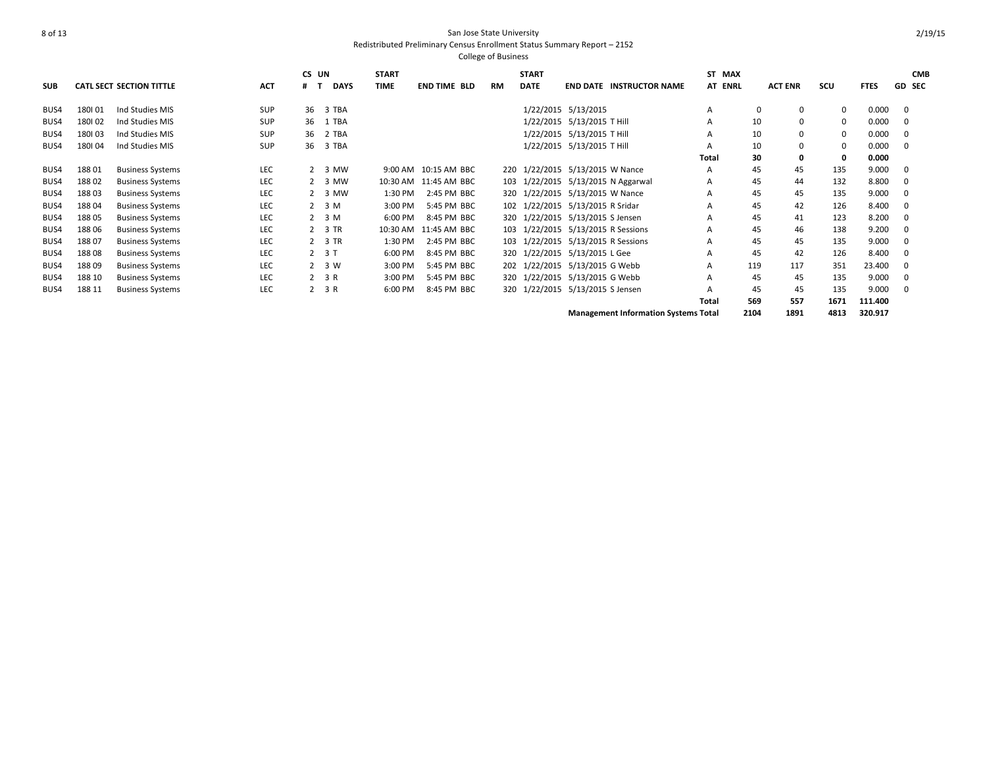|            |        |                                 |            | CS UN    |                     | <b>START</b> |                       |           | <b>START</b> |                                             | ST MAX  |          |                |      |             | <b>CMB</b>    |
|------------|--------|---------------------------------|------------|----------|---------------------|--------------|-----------------------|-----------|--------------|---------------------------------------------|---------|----------|----------------|------|-------------|---------------|
| <b>SUB</b> |        | <b>CATL SECT SECTION TITTLE</b> | <b>ACT</b> | #<br>. т | <b>DAYS</b>         | <b>TIME</b>  | <b>END TIME BLD</b>   | <b>RM</b> | <b>DATE</b>  | <b>END DATE INSTRUCTOR NAME</b>             | AT ENRL |          | <b>ACT ENR</b> | scu  | <b>FTES</b> | <b>GD SEC</b> |
|            |        |                                 |            |          |                     |              |                       |           |              |                                             |         |          |                |      |             |               |
| BUS4       | 180101 | Ind Studies MIS                 | SUP        | 36       | 3 TBA               |              |                       |           |              | 1/22/2015 5/13/2015                         | А       | $\Omega$ | 0              | 0    | 0.000       | $\Omega$      |
| BUS4       | 180102 | Ind Studies MIS                 | <b>SUP</b> | 36       | 1 TBA               |              |                       |           |              | 1/22/2015 5/13/2015 T Hill                  | А       | 10       | $\mathbf 0$    | 0    | 0.000       | 0             |
| BUS4       | 180103 | Ind Studies MIS                 | <b>SUP</b> | 36       | 2 TBA               |              |                       |           |              | 1/22/2015 5/13/2015 T Hill                  | А       | 10       | $\mathbf 0$    | 0    | 0.000       | 0             |
| BUS4       | 180104 | Ind Studies MIS                 | <b>SUP</b> | 36       | 3 TBA               |              |                       |           |              | 1/22/2015 5/13/2015 T Hill                  | А       | 10       | 0              | 0    | 0.000       | $\Omega$      |
|            |        |                                 |            |          |                     |              |                       |           |              |                                             | Total   | 30       | $\mathbf{0}$   | 0    | 0.000       |               |
| BUS4       | 18801  | <b>Business Systems</b>         | LEC        |          | 2 3 MW              |              | 9:00 AM 10:15 AM BBC  |           |              | 220 1/22/2015 5/13/2015 W Nance             | А       | 45       | 45             | 135  | 9.000       | $\Omega$      |
| BUS4       | 18802  | <b>Business Systems</b>         | LEC        |          | 2 3 MW              |              | 10:30 AM 11:45 AM BBC |           |              | 103 1/22/2015 5/13/2015 N Aggarwal          | А       | 45       | 44             | 132  | 8.800       | 0             |
| BUS4       | 18803  | <b>Business Systems</b>         | LEC        |          | 2 3 MW              | 1:30 PM      | 2:45 PM BBC           |           |              | 320 1/22/2015 5/13/2015 W Nance             | А       | 45       | 45             | 135  | 9.000       | $\Omega$      |
| BUS4       | 18804  | <b>Business Systems</b>         | LEC        |          | $2 \quad 3 \quad M$ | 3:00 PM      | 5:45 PM BBC           |           |              | 102 1/22/2015 5/13/2015 R Sridar            | А       | 45       | 42             | 126  | 8.400       | 0             |
| BUS4       | 188 05 | <b>Business Systems</b>         | LEC        |          | 2 <sup>3</sup> M    | 6:00 PM      | 8:45 PM BBC           |           |              | 320 1/22/2015 5/13/2015 S Jensen            | А       | 45       | 41             | 123  | 8.200       | $\Omega$      |
| BUS4       | 188 06 | <b>Business Systems</b>         | <b>LEC</b> |          | 2 3 TR              | 10:30 AM     | 11:45 AM BBC          |           |              | 103 1/22/2015 5/13/2015 R Sessions          | А       | 45       | 46             | 138  | 9.200       | $\Omega$      |
| BUS4       | 18807  | <b>Business Systems</b>         | LEC        |          | 2 3 TR              | 1:30 PM      | 2:45 PM BBC           |           |              | 103 1/22/2015 5/13/2015 R Sessions          | А       | 45       | 45             | 135  | 9.000       | 0             |
| BUS4       | 18808  | <b>Business Systems</b>         | LEC        |          | $2 \t3 T$           | 6:00 PM      | 8:45 PM BBC           |           |              | 320 1/22/2015 5/13/2015 L Gee               | А       | 45       | 42             | 126  | 8.400       | $\mathbf 0$   |
| BUS4       | 18809  | <b>Business Systems</b>         | LEC        |          | 2 3 W               | 3:00 PM      | 5:45 PM BBC           |           |              | 202 1/22/2015 5/13/2015 G Webb              | А       | 119      | 117            | 351  | 23.400      |               |
| BUS4       | 188 10 | <b>Business Systems</b>         | <b>LEC</b> |          | 2 3 R               | 3:00 PM      | 5:45 PM BBC           |           |              | 320 1/22/2015 5/13/2015 G Webb              | А       | 45       | 45             | 135  | 9.000       | 0             |
| BUS4       | 188 11 | <b>Business Systems</b>         | LEC        |          | 2 3 R               | 6:00 PM      | 8:45 PM BBC           |           |              | 320 1/22/2015 5/13/2015 S Jensen            | А       | 45       | 45             | 135  | 9.000       | $\Omega$      |
|            |        |                                 |            |          |                     |              |                       |           |              |                                             | Total   | 569      | 557            | 1671 | 111.400     |               |
|            |        |                                 |            |          |                     |              |                       |           |              | <b>Management Information Systems Total</b> |         | 2104     | 1891           | 4813 | 320.917     |               |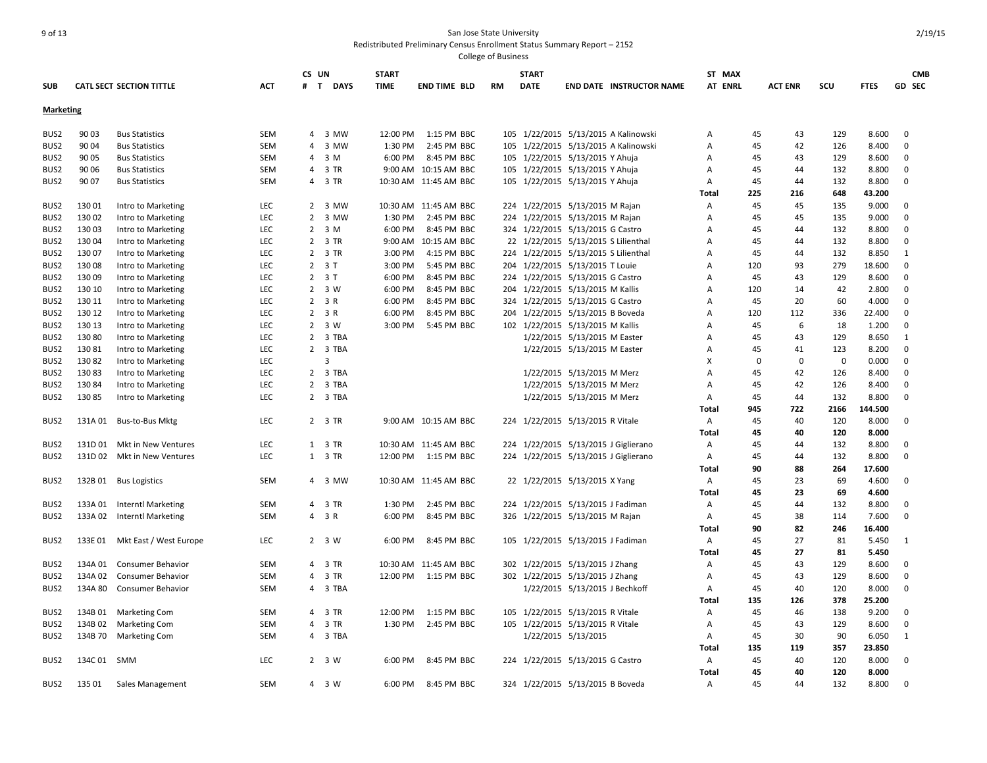| <b>SUB</b>                           |         | <b>CATL SECT SECTION TITTLE</b>               | ACT        | CS UN<br>#     | <b>DAYS</b><br>$\mathbf{T}$ | <b>START</b><br><b>TIME</b> | <b>END TIME BLD</b>   | <b>RM</b> | <b>START</b><br><b>DATE</b> | <b>END DATE INSTRUCTOR NAME</b>      | ST MAX<br><b>AT ENRL</b> |          | <b>ACT ENR</b> | scu         | <b>FTES</b> | <b>CMB</b><br>GD SEC |
|--------------------------------------|---------|-----------------------------------------------|------------|----------------|-----------------------------|-----------------------------|-----------------------|-----------|-----------------------------|--------------------------------------|--------------------------|----------|----------------|-------------|-------------|----------------------|
| <b>Marketing</b>                     |         |                                               |            |                |                             |                             |                       |           |                             |                                      |                          |          |                |             |             |                      |
| BUS2                                 | 90 03   | <b>Bus Statistics</b>                         | SEM        |                | 4 3 MW                      | 12:00 PM                    | 1:15 PM BBC           | 105       |                             | 1/22/2015 5/13/2015 A Kalinowski     | Α                        | 45       | 43             | 129         | 8.600       | $\mathbf 0$          |
| BUS <sub>2</sub>                     | 90 04   | <b>Bus Statistics</b>                         | SEM        | 4              | 3 MW                        | 1:30 PM                     | 2:45 PM BBC           | 105       |                             | 1/22/2015 5/13/2015 A Kalinowski     | А                        | 45       | 42             | 126         | 8.400       | 0                    |
| BUS <sub>2</sub>                     | 90 05   | <b>Bus Statistics</b>                         | SEM        |                | 4 3 M                       | 6:00 PM                     | 8:45 PM BBC           | 105       |                             | 1/22/2015 5/13/2015 Y Ahuja          | А                        | 45       | 43             | 129         | 8.600       | 0                    |
| BUS <sub>2</sub>                     | 90 06   | <b>Bus Statistics</b>                         | SEM        |                | 4 3 TR                      |                             | 9:00 AM 10:15 AM BBC  |           |                             | 105 1/22/2015 5/13/2015 Y Ahuja      | А                        | 45       | 44             | 132         | 8.800       | 0                    |
| BUS <sub>2</sub>                     | 90 07   | <b>Bus Statistics</b>                         | <b>SEM</b> |                | 4 3 TR                      |                             | 10:30 AM 11:45 AM BBC |           |                             | 105 1/22/2015 5/13/2015 Y Ahuja      | А                        | 45       | 44             | 132         | 8.800       | $\mathbf{0}$         |
|                                      |         |                                               |            |                |                             |                             |                       |           |                             |                                      | Total                    | 225      | 216            | 648         | 43.200      |                      |
| BUS <sub>2</sub>                     | 130 01  | Intro to Marketing                            | LEC        |                | 2 3 MW                      |                             | 10:30 AM 11:45 AM BBC |           |                             | 224 1/22/2015 5/13/2015 M Rajan      | А                        | 45       | 45             | 135         | 9.000       | $\mathbf{0}$         |
| BUS2                                 | 130 02  | Intro to Marketing                            | <b>LEC</b> |                | 2 3 MW                      | 1:30 PM                     | 2:45 PM BBC           | 224       |                             | 1/22/2015 5/13/2015 M Rajan          | А                        | 45       | 45             | 135         | 9.000       | $\mathbf 0$          |
| BUS2                                 | 130 03  | Intro to Marketing                            | LEC        | $\overline{2}$ | 3 M                         | 6:00 PM                     | 8:45 PM BBC           | 324       |                             | 1/22/2015 5/13/2015 G Castro         | А                        | 45       | 44             | 132         | 8.800       | $\mathbf 0$          |
| BUS2                                 | 130 04  | Intro to Marketing                            | LEC        |                | 2 3 TR                      |                             | 9:00 AM 10:15 AM BBC  |           |                             | 22 1/22/2015 5/13/2015 S Lilienthal  | А                        | 45       | 44             | 132         | 8.800       | $\mathbf 0$          |
| BUS <sub>2</sub>                     | 130 07  | Intro to Marketing                            | LEC        |                | 2 3 TR                      | 3:00 PM                     | 4:15 PM BBC           |           |                             | 224 1/22/2015 5/13/2015 S Lilienthal | A                        | 45       | 44             | 132         | 8.850       | $\mathbf{1}$         |
| BUS <sub>2</sub>                     | 130 08  | Intro to Marketing                            | LEC        |                | $2 \quad 3 \quad T$         | 3:00 PM                     | 5:45 PM BBC           | 204       |                             | 1/22/2015 5/13/2015 T Louie          | A                        | 120      | 93             | 279         | 18.600      | 0                    |
| BUS <sub>2</sub>                     | 130 09  | Intro to Marketing                            | LEC        |                | $2 \quad 3 \quad T$         | 6:00 PM                     | 8:45 PM BBC           | 224       |                             | 1/22/2015 5/13/2015 G Castro         | А                        | 45       | 43             | 129         | 8.600       | $\mathbf 0$          |
| BUS <sub>2</sub>                     | 130 10  | Intro to Marketing                            | <b>LEC</b> | $\overline{2}$ | 3 W                         | 6:00 PM                     | 8:45 PM BBC           | 204       |                             | 1/22/2015 5/13/2015 M Kallis         | А                        | 120      | 14             | 42          | 2.800       | 0                    |
| BUS <sub>2</sub>                     | 130 11  | Intro to Marketing                            | <b>LEC</b> |                | $2 \t3 R$                   | 6:00 PM                     | 8:45 PM BBC           | 324       |                             | 1/22/2015 5/13/2015 G Castro         | А                        | 45       | 20             | 60          | 4.000       | 0                    |
| BUS <sub>2</sub>                     | 130 12  | Intro to Marketing                            | LEC        |                | 2 3 R                       | 6:00 PM                     | 8:45 PM BBC           | 204       |                             | 1/22/2015 5/13/2015 B Boveda         | A                        | 120      | 112            | 336         | 22.400      | 0                    |
| BUS <sub>2</sub>                     | 130 13  | Intro to Marketing                            | LEC        |                | 2 3 W                       | 3:00 PM                     | 5:45 PM BBC           |           |                             | 102 1/22/2015 5/13/2015 M Kallis     | А                        | 45       | 6              | 18          | 1.200       | $\mathbf{0}$         |
| BUS2                                 | 130 80  | Intro to Marketing                            | LEC        |                | 2 3 TBA                     |                             |                       |           |                             | 1/22/2015 5/13/2015 M Easter         | А                        | 45       | 43             | 129         | 8.650       | $\mathbf{1}$         |
| BUS <sub>2</sub>                     | 130 81  | Intro to Marketing                            | LEC        |                | 2 3 TBA                     |                             |                       |           |                             | 1/22/2015 5/13/2015 M Easter         | A                        | 45       | 41             | 123         | 8.200       | $\mathbf 0$          |
| BUS <sub>2</sub>                     | 13082   | Intro to Marketing                            | LEC        |                | 3                           |                             |                       |           |                             |                                      | X                        | $\Omega$ | $\mathbf 0$    | $\mathbf 0$ | 0.000       | $\mathbf{0}$         |
| BUS <sub>2</sub>                     | 13083   | Intro to Marketing                            | LEC        | 2              | 3 TBA                       |                             |                       |           |                             | 1/22/2015 5/13/2015 M Merz           | A                        | 45       | 42             | 126         | 8.400       | 0                    |
|                                      | 130 84  |                                               | LEC        |                | 2 3 TBA                     |                             |                       |           |                             | 1/22/2015 5/13/2015 M Merz           | А                        | 45       | 42             | 126         | 8.400       | 0                    |
| BUS <sub>2</sub><br>BUS <sub>2</sub> | 130 85  | Intro to Marketing                            | <b>LEC</b> |                | 2 3 TBA                     |                             |                       |           |                             | 1/22/2015 5/13/2015 M Merz           | Α                        | 45       | 44             | 132         | 8.800       | $\mathbf{0}$         |
|                                      |         | Intro to Marketing                            |            |                |                             |                             |                       |           |                             |                                      | Total                    | 945      | 722            | 2166        | 144.500     |                      |
| BUS <sub>2</sub>                     | 131A 01 | Bus-to-Bus Mktg                               | LEC        |                | 2 3 TR                      |                             | 9:00 AM 10:15 AM BBC  |           |                             | 224 1/22/2015 5/13/2015 R Vitale     | Α                        | 45       | 40             | 120         | 8.000       | $\mathbf{0}$         |
|                                      |         |                                               |            |                |                             |                             |                       |           |                             |                                      | Total                    | 45       | 40             | 120         | 8.000       |                      |
| BUS2                                 | 131D 01 | Mkt in New Ventures                           | LEC        |                | 1 3 TR                      |                             | 10:30 AM 11:45 AM BBC |           |                             | 224 1/22/2015 5/13/2015 J Giglierano | Α                        | 45       | 44             | 132         | 8.800       | 0                    |
| BUS2                                 | 131D 02 | Mkt in New Ventures                           | LEC        |                | 1 3 TR                      | 12:00 PM                    | 1:15 PM BBC           | 224       |                             | 1/22/2015 5/13/2015 J Giglierano     | Α                        | 45       | 44             | 132         | 8.800       | 0                    |
|                                      |         |                                               |            |                |                             |                             |                       |           |                             |                                      | <b>Total</b>             | 90       | 88             | 264         | 17.600      |                      |
| BUS <sub>2</sub>                     | 132B 01 | <b>Bus Logistics</b>                          | SEM        |                | 4 3 MW                      |                             | 10:30 AM 11:45 AM BBC |           |                             | 22 1/22/2015 5/13/2015 X Yang        | Α                        | 45       | 23             | 69          | 4.600       | 0                    |
|                                      |         |                                               |            |                |                             |                             |                       |           |                             |                                      | Total                    | 45       | 23             | 69          | 4.600       |                      |
| BUS <sub>2</sub>                     | 133A 01 | <b>Interntl Marketing</b>                     | SEM        |                | 4 3 TR                      | 1:30 PM                     | 2:45 PM BBC           |           |                             | 224 1/22/2015 5/13/2015 J Fadiman    | А                        | 45       | 44             | 132         | 8.800       | 0                    |
| BUS <sub>2</sub>                     | 133A 02 | <b>Interntl Marketing</b>                     | SEM        |                | 4 3 R                       | 6:00 PM                     | 8:45 PM BBC           |           |                             | 326 1/22/2015 5/13/2015 M Rajan      | A                        | 45       | 38             | 114         | 7.600       | 0                    |
|                                      |         |                                               |            |                |                             |                             |                       |           |                             |                                      | Total                    | 90       | 82             | 246         | 16.400      |                      |
| BUS <sub>2</sub>                     | 133E 01 | Mkt East / West Europe                        | LEC        |                | 2 3 W                       | 6:00 PM                     | 8:45 PM BBC           |           |                             | 105 1/22/2015 5/13/2015 J Fadiman    | Α                        | 45       | 27             | 81          | 5.450       | 1                    |
|                                      |         |                                               |            |                |                             |                             |                       |           |                             |                                      | Total                    | 45       | 27             | 81          | 5.450       |                      |
|                                      | 134A 01 |                                               | SEM        |                | 4 3 TR                      |                             | 10:30 AM 11:45 AM BBC |           |                             | 302 1/22/2015 5/13/2015 J Zhang      |                          |          | 43             | 129         | 8.600       | 0                    |
| BUS2                                 | 134A 02 | Consumer Behavior<br><b>Consumer Behavior</b> | SEM        |                | 4 3 TR                      | 12:00 PM                    | 1:15 PM BBC           |           |                             | 302 1/22/2015 5/13/2015 J Zhang      | Α<br>A                   | 45<br>45 | 43             | 129         | 8.600       | $\mathbf 0$          |
| BUS <sub>2</sub>                     |         |                                               |            |                |                             |                             |                       |           |                             |                                      |                          |          |                |             |             | $\mathbf 0$          |
| BUS2                                 | 134A 80 | <b>Consumer Behavior</b>                      | <b>SEM</b> |                | 4 3 TBA                     |                             |                       |           |                             | 1/22/2015 5/13/2015 J Bechkoff       | Α                        | 45       | 40             | 120         | 8.000       |                      |
|                                      |         |                                               |            |                |                             |                             |                       |           |                             |                                      | Total                    | 135      | 126            | 378         | 25.200      |                      |
| BUS <sub>2</sub>                     | 134B 01 | <b>Marketing Com</b>                          | SEM        |                | 4 3 TR                      | 12:00 PM                    | 1:15 PM BBC           | 105       |                             | 1/22/2015 5/13/2015 R Vitale         | Α                        | 45       | 46             | 138         | 9.200       | 0                    |
| BUS <sub>2</sub>                     | 134B 02 | <b>Marketing Com</b>                          | SEM        |                | 4 3 TR                      | 1:30 PM                     | 2:45 PM BBC           | 105       |                             | 1/22/2015 5/13/2015 R Vitale         | Α                        | 45       | 43             | 129         | 8.600       | 0                    |
| BUS2                                 | 134B 70 | <b>Marketing Com</b>                          | SEM        |                | 4 3 TBA                     |                             |                       |           |                             | 1/22/2015 5/13/2015                  | А                        | 45       | 30             | 90          | 6.050       | 1                    |
|                                      |         |                                               |            |                |                             |                             |                       |           |                             |                                      | Total                    | 135      | 119            | 357         | 23.850      |                      |
| BUS2                                 | 134C 01 | SMM                                           | <b>LEC</b> |                | 2 3 W                       | 6:00 PM                     | 8:45 PM BBC           |           |                             | 224 1/22/2015 5/13/2015 G Castro     | A                        | 45       | 40             | 120         | 8.000       | 0                    |
|                                      |         |                                               |            |                |                             |                             |                       |           |                             |                                      | Total                    | 45       | 40             | 120         | 8.000       |                      |
| BUS2                                 | 135 01  | Sales Management                              | SEM        |                | 4 3 W                       | 6:00 PM                     | 8:45 PM BBC           |           |                             | 324 1/22/2015 5/13/2015 B Boveda     | Α                        | 45       | 44             | 132         | 8.800       | 0                    |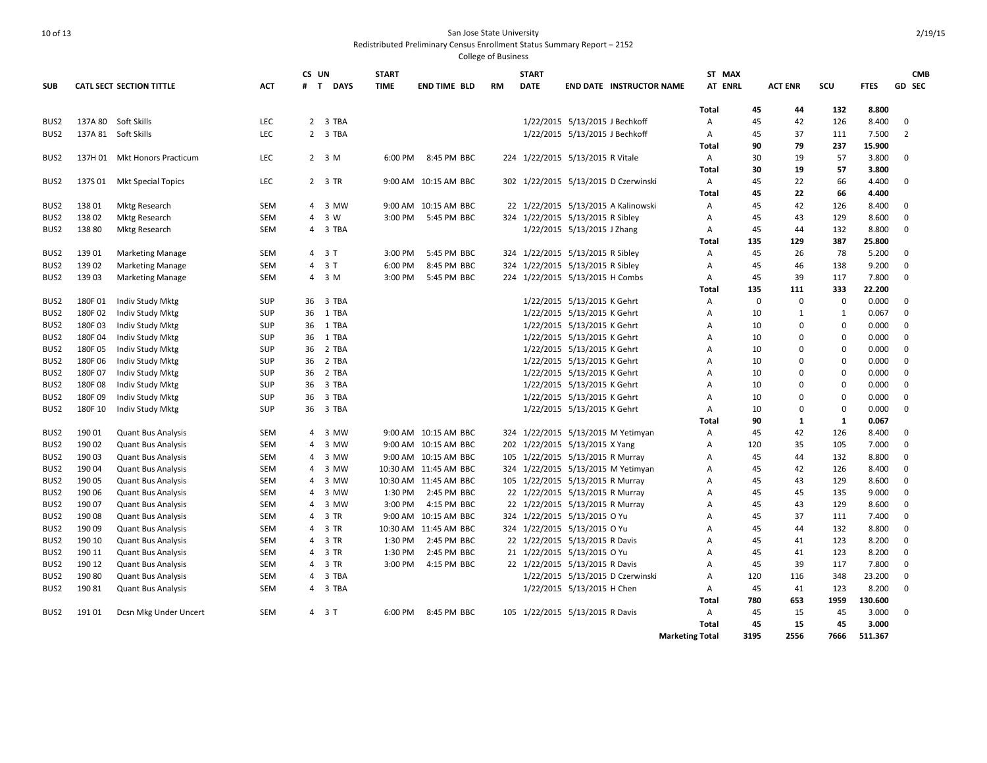|                  |         |                                 |            | CS UN |                  | <b>START</b> |                       |           | <b>START</b>                     |                                |                                      | ST MAX                 |             |                |             |             | <b>CMB</b>     |
|------------------|---------|---------------------------------|------------|-------|------------------|--------------|-----------------------|-----------|----------------------------------|--------------------------------|--------------------------------------|------------------------|-------------|----------------|-------------|-------------|----------------|
| <b>SUB</b>       |         | <b>CATL SECT SECTION TITTLE</b> | <b>ACT</b> |       | # T DAYS         | <b>TIME</b>  | <b>END TIME BLD</b>   | <b>RM</b> | <b>DATE</b>                      |                                | <b>END DATE INSTRUCTOR NAME</b>      | AT ENRL                |             | <b>ACT ENR</b> | scu         | <b>FTES</b> | GD SEC         |
|                  |         |                                 |            |       |                  |              |                       |           |                                  |                                |                                      | Total                  | 45          | 44             | 132         | 8.800       |                |
| BUS2             |         | 137A 80 Soft Skills             | LEC        |       | 2 3 TBA          |              |                       |           |                                  | 1/22/2015 5/13/2015 J Bechkoff |                                      | A                      | 45          | 42             | 126         | 8.400       | $\mathbf 0$    |
| BUS2             |         | 137A 81 Soft Skills             | <b>LEC</b> |       | 2 3 TBA          |              |                       |           |                                  | 1/22/2015 5/13/2015 J Bechkoff |                                      | Α                      | 45          | 37             | 111         | 7.500       | $\overline{2}$ |
|                  |         |                                 |            |       |                  |              |                       |           |                                  |                                |                                      | Total                  | 90          | 79             | 237         | 15.900      |                |
| BUS <sub>2</sub> |         | 137H 01 Mkt Honors Practicum    | <b>LEC</b> |       | 2 <sup>3</sup> M | 6:00 PM      | 8:45 PM BBC           |           | 224 1/22/2015 5/13/2015 R Vitale |                                |                                      | Α                      | 30          | 19             | 57          | 3.800       | $\mathbf 0$    |
|                  |         |                                 |            |       |                  |              |                       |           |                                  |                                |                                      | Total                  | 30          | 19             | 57          | 3.800       |                |
| BUS <sub>2</sub> | 137S 01 | <b>Mkt Special Topics</b>       | LEC        |       | 2 3 TR           |              | 9:00 AM 10:15 AM BBC  |           |                                  |                                | 302 1/22/2015 5/13/2015 D Czerwinski | Α                      | 45          | 22             | 66          | 4.400       | 0              |
|                  |         |                                 |            |       |                  |              |                       |           |                                  |                                |                                      | Total                  | 45          | 22             | 66          | 4.400       |                |
| BUS2             | 13801   | <b>Mktg Research</b>            | SEM        |       | 4 3 MW           |              | 9:00 AM 10:15 AM BBC  |           |                                  |                                | 22 1/22/2015 5/13/2015 A Kalinowski  | А                      | 45          | 42             | 126         | 8.400       | 0              |
| BUS <sub>2</sub> | 13802   | <b>Mktg Research</b>            | SEM        |       | 4 3 W            | 3:00 PM      | 5:45 PM BBC           |           | 324 1/22/2015 5/13/2015 R Sibley |                                |                                      | A                      | 45          | 43             | 129         | 8.600       | $\mathbf 0$    |
| BUS2             | 138 80  | <b>Mktg Research</b>            | <b>SEM</b> |       | 4 3 TBA          |              |                       |           |                                  | 1/22/2015 5/13/2015 J Zhang    |                                      | Α                      | 45          | 44             | 132         | 8.800       | $\mathbf 0$    |
|                  |         |                                 |            |       |                  |              |                       |           |                                  |                                |                                      | Total                  | 135         | 129            | 387         | 25.800      |                |
| BUS <sub>2</sub> | 139 01  | <b>Marketing Manage</b>         | <b>SEM</b> |       | 4 3 T            | 3:00 PM      | 5:45 PM BBC           |           | 324 1/22/2015 5/13/2015 R Sibley |                                |                                      | A                      | 45          | 26             | 78          | 5.200       | $\mathbf 0$    |
| BUS <sub>2</sub> | 139 02  | <b>Marketing Manage</b>         | <b>SEM</b> |       | 4 3 T            | 6:00 PM      | 8:45 PM BBC           | 324       |                                  | 1/22/2015 5/13/2015 R Sibley   |                                      | A                      | 45          | 46             | 138         | 9.200       | $\mathbf 0$    |
| BUS2             | 139 03  | <b>Marketing Manage</b>         | SEM        |       | 4 3 M            | 3:00 PM      | 5:45 PM BBC           |           | 224 1/22/2015 5/13/2015 H Combs  |                                |                                      | Α                      | 45          | 39             | 117         | 7.800       | $\mathbf 0$    |
|                  |         |                                 |            |       |                  |              |                       |           |                                  |                                |                                      | Total                  | 135         | 111            | 333         | 22.200      |                |
| BUS <sub>2</sub> | 180F01  | Indiv Study Mktg                | <b>SUP</b> | 36    | 3 TBA            |              |                       |           |                                  | 1/22/2015 5/13/2015 K Gehrt    |                                      | Α                      | $\mathbf 0$ | $\mathbf 0$    | 0           | 0.000       | $\mathbf 0$    |
| BUS <sub>2</sub> | 180F02  | Indiv Study Mktg                | SUP        | 36    | 1 TBA            |              |                       |           |                                  | 1/22/2015 5/13/2015 K Gehrt    |                                      | A                      | 10          | 1              | 1           | 0.067       | $\mathbf 0$    |
| BUS2             | 180F03  | Indiv Study Mktg                | <b>SUP</b> | 36    | 1 TBA            |              |                       |           |                                  | 1/22/2015 5/13/2015 K Gehrt    |                                      | $\overline{A}$         | 10          | $\Omega$       | $\Omega$    | 0.000       | $\mathbf 0$    |
| BUS2             | 180F04  | Indiv Study Mktg                | SUP        | 36    | 1 TBA            |              |                       |           |                                  | 1/22/2015 5/13/2015 K Gehrt    |                                      | A                      | 10          | $\Omega$       | $\mathbf 0$ | 0.000       | $\mathbf 0$    |
| BUS <sub>2</sub> | 180F05  | <b>Indiv Study Mktg</b>         | <b>SUP</b> | 36    | 2 TBA            |              |                       |           |                                  | 1/22/2015 5/13/2015 K Gehrt    |                                      | $\overline{A}$         | 10          | $\Omega$       | $\Omega$    | 0.000       | $\mathbf 0$    |
| BUS <sub>2</sub> | 180F06  | Indiv Study Mktg                | SUP        | 36    | 2 TBA            |              |                       |           |                                  | 1/22/2015 5/13/2015 K Gehrt    |                                      | $\overline{A}$         | 10          | $\Omega$       | 0           | 0.000       | 0              |
| BUS <sub>2</sub> | 180F07  | Indiv Study Mktg                | <b>SUP</b> | 36    | 2 TBA            |              |                       |           |                                  | 1/22/2015 5/13/2015 K Gehrt    |                                      | $\overline{A}$         | 10          | $\Omega$       | $\Omega$    | 0.000       | 0              |
| BUS <sub>2</sub> | 180F08  | Indiv Study Mktg                | <b>SUP</b> | 36    | 3 TBA            |              |                       |           |                                  | 1/22/2015 5/13/2015 K Gehrt    |                                      | $\overline{A}$         | 10          | $\Omega$       | $\Omega$    | 0.000       | $\mathbf 0$    |
| BUS2             | 180F09  | Indiv Study Mktg                | <b>SUP</b> | 36    | 3 TBA            |              |                       |           |                                  | 1/22/2015 5/13/2015 K Gehrt    |                                      | А                      | 10          | $\Omega$       | 0           | 0.000       | 0              |
| BUS <sub>2</sub> | 180F 10 | Indiv Study Mktg                | <b>SUP</b> | 36    | 3 TBA            |              |                       |           |                                  | 1/22/2015 5/13/2015 K Gehrt    |                                      | A                      | 10          | $\mathbf 0$    | $\Omega$    | 0.000       | 0              |
|                  |         |                                 |            |       |                  |              |                       |           |                                  |                                |                                      | Total                  | 90          | 1              | 1           | 0.067       |                |
| BUS2             | 190 01  | <b>Quant Bus Analysis</b>       | SEM        |       | 4 3 MW           |              | 9:00 AM 10:15 AM BBC  | 324       |                                  |                                | 1/22/2015 5/13/2015 M Yetimyan       | Α                      | 45          | 42             | 126         | 8.400       | 0              |
| BUS <sub>2</sub> | 190 02  | <b>Quant Bus Analysis</b>       | <b>SEM</b> | 4     | 3 MW             |              | 9:00 AM 10:15 AM BBC  |           | 202 1/22/2015 5/13/2015 X Yang   |                                |                                      | $\overline{A}$         | 120         | 35             | 105         | 7.000       | $\mathbf 0$    |
| BUS <sub>2</sub> | 190 03  | <b>Quant Bus Analysis</b>       | SEM        | 4     | 3 MW             |              | 9:00 AM 10:15 AM BBC  | 105       |                                  | 1/22/2015 5/13/2015 R Murray   |                                      | A                      | 45          | 44             | 132         | 8.800       | 0              |
| BUS <sub>2</sub> | 190 04  | <b>Quant Bus Analysis</b>       | SEM        |       | 4 3 MW           |              | 10:30 AM 11:45 AM BBC |           |                                  |                                | 324 1/22/2015 5/13/2015 M Yetimyan   | $\overline{A}$         | 45          | 42             | 126         | 8.400       | $\Omega$       |
| BUS2             | 190 05  | <b>Quant Bus Analysis</b>       | <b>SEM</b> | 4     | 3 MW             |              | 10:30 AM 11:45 AM BBC |           | 105 1/22/2015 5/13/2015 R Murray |                                |                                      | A                      | 45          | 43             | 129         | 8.600       | $\mathbf 0$    |
| BUS2             | 190 06  | <b>Quant Bus Analysis</b>       | SEM        |       | 4 3 MW           | 1:30 PM      | 2:45 PM BBC           |           | 22 1/22/2015 5/13/2015 R Murray  |                                |                                      | А                      | 45          | 45             | 135         | 9.000       | 0              |
| BUS <sub>2</sub> | 190 07  | <b>Quant Bus Analysis</b>       | SEM        | 4     | 3 MW             | 3:00 PM      | 4:15 PM BBC           | 22        |                                  | 1/22/2015 5/13/2015 R Murray   |                                      | А                      | 45          | 43             | 129         | 8.600       | $\mathbf 0$    |
| BUS <sub>2</sub> | 190 08  | <b>Quant Bus Analysis</b>       | <b>SEM</b> |       | 4 3 TR           |              | 9:00 AM 10:15 AM BBC  | 324       |                                  | 1/22/2015 5/13/2015 O Yu       |                                      | A                      | 45          | 37             | 111         | 7.400       | $\mathbf 0$    |
| BUS <sub>2</sub> | 190 09  | <b>Quant Bus Analysis</b>       | SEM        |       | 4 3 TR           |              | 10:30 AM 11:45 AM BBC |           | 324 1/22/2015 5/13/2015 O Yu     |                                |                                      | A                      | 45          | 44             | 132         | 8.800       | $\Omega$       |
| BUS2             | 190 10  | <b>Quant Bus Analysis</b>       | <b>SEM</b> | 4     | 3 TR             | 1:30 PM      | 2:45 PM BBC           |           | 22 1/22/2015 5/13/2015 R Davis   |                                |                                      | $\overline{A}$         | 45          | 41             | 123         | 8.200       | $\mathbf 0$    |
| BUS <sub>2</sub> | 190 11  | <b>Quant Bus Analysis</b>       | SEM        |       | 4 3 TR           | 1:30 PM      | 2:45 PM BBC           |           | 21 1/22/2015 5/13/2015 O Yu      |                                |                                      | A                      | 45          | 41             | 123         | 8.200       | 0              |
| BUS2             | 190 12  | <b>Quant Bus Analysis</b>       | SEM        |       | 4 3 TR           | 3:00 PM      | 4:15 PM BBC           |           | 22 1/22/2015 5/13/2015 R Davis   |                                |                                      | $\overline{A}$         | 45          | 39             | 117         | 7.800       | $\mathbf 0$    |
| BUS <sub>2</sub> | 190 80  | <b>Quant Bus Analysis</b>       | SEM        |       | 4 3 TBA          |              |                       |           |                                  |                                | 1/22/2015 5/13/2015 D Czerwinski     | $\overline{A}$         | 120         | 116            | 348         | 23.200      | $\Omega$       |
| BUS2             | 190 81  | <b>Quant Bus Analysis</b>       | SEM        |       | 4 3 TBA          |              |                       |           |                                  | 1/22/2015 5/13/2015 H Chen     |                                      | A                      | 45          | 41             | 123         | 8.200       | $\mathbf 0$    |
|                  |         |                                 |            |       |                  |              |                       |           |                                  |                                |                                      | Total                  | 780         | 653            | 1959        | 130.600     |                |
| BUS2             | 19101   | Dcsn Mkg Under Uncert           | <b>SEM</b> |       | 4 3 T            | 6:00 PM      | 8:45 PM BBC           |           | 105 1/22/2015 5/13/2015 R Davis  |                                |                                      | $\overline{A}$         | 45          | 15             | 45          | 3.000       | $\mathbf 0$    |
|                  |         |                                 |            |       |                  |              |                       |           |                                  |                                |                                      | Total                  | 45          | 15             | 45          | 3.000       |                |
|                  |         |                                 |            |       |                  |              |                       |           |                                  |                                |                                      | <b>Marketing Total</b> | 3195        | 2556           | 7666        | 511.367     |                |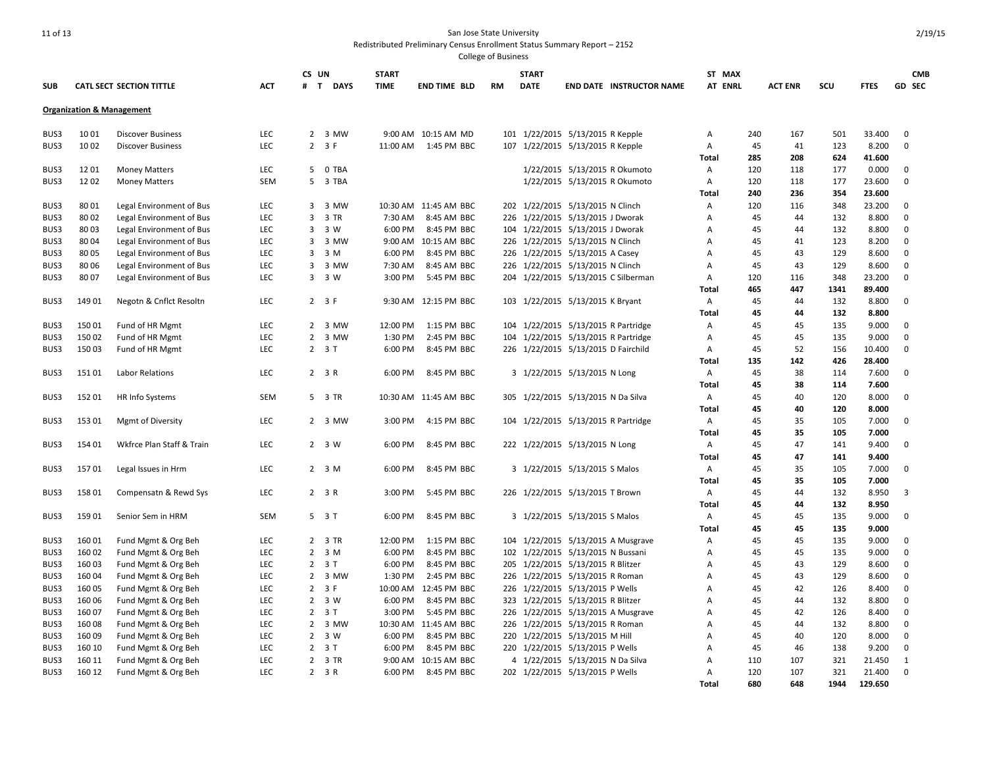| <b>SUB</b> |        | CATL SECT SECTION TITTLE                             | <b>ACT</b> | CS UN<br># T<br><b>DAYS</b> | <b>START</b><br><b>TIME</b> | <b>END TIME BLD</b>   | <b>RM</b> | <b>START</b><br><b>DATE</b> | <b>END DATE INSTRUCTOR NAME</b>     | ST MAX<br>AT ENRL |     | <b>ACT ENR</b> | SCU  | <b>FTES</b> | <b>CMB</b><br><b>GD SEC</b> |
|------------|--------|------------------------------------------------------|------------|-----------------------------|-----------------------------|-----------------------|-----------|-----------------------------|-------------------------------------|-------------------|-----|----------------|------|-------------|-----------------------------|
|            |        | <b>Organization &amp; Management</b>                 |            |                             |                             |                       |           |                             |                                     |                   |     |                |      |             |                             |
| BUS3       | 1001   | <b>Discover Business</b>                             | <b>LEC</b> | 2 3 MW                      |                             | 9:00 AM 10:15 AM MD   |           |                             | 101 1/22/2015 5/13/2015 R Kepple    | Α                 | 240 | 167            | 501  | 33.400      | $\mathbf 0$                 |
| BUS3       | 1002   | <b>Discover Business</b>                             | <b>LEC</b> | $2 \quad 3 \quad F$         | 11:00 AM                    | 1:45 PM BBC           | 107       |                             | 1/22/2015 5/13/2015 R Kepple        | Α                 | 45  | 41             | 123  | 8.200       | $\mathbf 0$                 |
|            |        |                                                      |            |                             |                             |                       |           |                             |                                     | Total             | 285 | 208            | 624  | 41.600      |                             |
| BUS3       | 12 01  | <b>Money Matters</b>                                 | LEC        | 5 0 TBA                     |                             |                       |           |                             | 1/22/2015 5/13/2015 R Okumoto       | Α                 | 120 | 118            | 177  | 0.000       | 0                           |
| BUS3       | 1202   | <b>Money Matters</b>                                 | SEM        | 5 3 TBA                     |                             |                       |           |                             | 1/22/2015 5/13/2015 R Okumoto       | Α                 | 120 | 118            | 177  | 23.600      | $\mathbf 0$                 |
|            |        |                                                      |            |                             |                             |                       |           |                             |                                     | Total             | 240 | 236            | 354  | 23.600      |                             |
| BUS3       | 8001   | Legal Environment of Bus                             | LEC        | 3 3 MW                      |                             | 10:30 AM 11:45 AM BBC |           |                             | 202 1/22/2015 5/13/2015 N Clinch    | Α                 | 120 | 116            | 348  | 23.200      | 0                           |
| BUS3       | 80 02  | Legal Environment of Bus                             | <b>LEC</b> | 3 3 TR                      | 7:30 AM                     | 8:45 AM BBC           | 226       |                             | 1/22/2015 5/13/2015 J Dworak        | A                 | 45  | 44             | 132  | 8.800       | $\mathbf 0$                 |
| BUS3       | 8003   |                                                      | <b>LEC</b> | 3 W<br>3                    | 6:00 PM                     | 8:45 PM BBC           | 104       |                             | 1/22/2015 5/13/2015 J Dworak        | A                 | 45  | 44             | 132  | 8.800       | $\Omega$                    |
| BUS3       | 8004   | Legal Environment of Bus<br>Legal Environment of Bus | LEC        | 3 3 MW                      |                             | 9:00 AM 10:15 AM BBC  |           |                             | 226 1/22/2015 5/13/2015 N Clinch    | Α                 | 45  | 41             | 123  | 8.200       | $\mathbf 0$                 |
|            |        |                                                      |            |                             |                             |                       |           |                             |                                     |                   |     |                |      |             |                             |
| BUS3       | 8005   | Legal Environment of Bus                             | LEC        | 3 M<br>3                    | 6:00 PM                     | 8:45 PM BBC           |           |                             | 226 1/22/2015 5/13/2015 A Casey     | Α                 | 45  | 43             | 129  | 8.600       | $\mathbf 0$                 |
| BUS3       | 8006   | Legal Environment of Bus                             | <b>LEC</b> | 3<br>3 MW                   | 7:30 AM                     | 8:45 AM BBC           |           |                             | 226 1/22/2015 5/13/2015 N Clinch    | Α                 | 45  | 43             | 129  | 8.600       | $\mathbf 0$                 |
| BUS3       | 8007   | Legal Environment of Bus                             | LEC        | 3 3 W                       | 3:00 PM                     | 5:45 PM BBC           |           |                             | 204 1/22/2015 5/13/2015 C Silberman | Α                 | 120 | 116            | 348  | 23.200      | $\mathbf 0$                 |
|            |        |                                                      |            |                             |                             |                       |           |                             |                                     | Total             | 465 | 447            | 1341 | 89.400      |                             |
| BUS3       | 149 01 | Negotn & Cnflct Resoltn                              | <b>LEC</b> | $2 \t3F$                    |                             | 9:30 AM 12:15 PM BBC  |           |                             | 103 1/22/2015 5/13/2015 K Bryant    | Α                 | 45  | 44             | 132  | 8.800       | $\mathbf 0$                 |
|            |        |                                                      |            |                             |                             |                       |           |                             |                                     | Total             | 45  | 44             | 132  | 8.800       |                             |
| BUS3       | 150 01 | Fund of HR Mgmt                                      | LEC        | 2 3 MW                      | 12:00 PM                    | 1:15 PM BBC           |           |                             | 104 1/22/2015 5/13/2015 R Partridge | Α                 | 45  | 45             | 135  | 9.000       | $\mathbf 0$                 |
| BUS3       | 150 02 | Fund of HR Mgmt                                      | LEC        | 3 MW<br>$\overline{2}$      | 1:30 PM                     | 2:45 PM BBC           | 104       |                             | 1/22/2015 5/13/2015 R Partridge     | Α                 | 45  | 45             | 135  | 9.000       | $\Omega$                    |
| BUS3       | 150 03 | Fund of HR Mgmt                                      | LEC        | $2 \quad 3 \quad T$         | 6:00 PM                     | 8:45 PM BBC           |           |                             | 226 1/22/2015 5/13/2015 D Fairchild | Α                 | 45  | 52             | 156  | 10.400      | $\Omega$                    |
|            |        |                                                      |            |                             |                             |                       |           |                             |                                     | Total             | 135 | 142            | 426  | 28.400      |                             |
| BUS3       | 15101  | Labor Relations                                      | LEC        | 2 3 R                       | 6:00 PM                     | 8:45 PM BBC           |           |                             | 3 1/22/2015 5/13/2015 N Long        | Α                 | 45  | 38             | 114  | 7.600       | 0                           |
|            |        |                                                      |            |                             |                             |                       |           |                             |                                     | Total             | 45  | 38             | 114  | 7.600       |                             |
| BUS3       | 152 01 | HR Info Systems                                      | SEM        | 5 3 TR                      |                             | 10:30 AM 11:45 AM BBC | 305       |                             | 1/22/2015 5/13/2015 N Da Silva      | Α                 | 45  | 40             | 120  | 8.000       | 0                           |
|            |        |                                                      |            |                             |                             |                       |           |                             |                                     | Total             | 45  | 40             | 120  | 8.000       |                             |
| BUS3       | 153 01 | <b>Mgmt of Diversity</b>                             | LEC        | 2 3 MW                      | 3:00 PM                     | 4:15 PM BBC           |           |                             | 104 1/22/2015 5/13/2015 R Partridge | Α                 | 45  | 35             | 105  | 7.000       | $\Omega$                    |
|            |        |                                                      |            |                             |                             |                       |           |                             |                                     | Total             | 45  | 35             | 105  | 7.000       |                             |
| BUS3       | 154 01 | Wkfrce Plan Staff & Train                            | <b>LEC</b> | 2 3 W                       | 6:00 PM                     | 8:45 PM BBC           |           |                             | 222 1/22/2015 5/13/2015 N Long      | Α                 | 45  | 47             | 141  | 9.400       | $\Omega$                    |
|            |        |                                                      |            |                             |                             |                       |           |                             |                                     | Total             | 45  | 47             | 141  | 9.400       |                             |
| BUS3       | 157 01 | Legal Issues in Hrm                                  | LEC        | 2 <sup>3</sup> M            | 6:00 PM                     | 8:45 PM BBC           |           |                             | 3 1/22/2015 5/13/2015 S Malos       | Α                 | 45  | 35             | 105  | 7.000       | $\mathbf 0$                 |
|            |        |                                                      |            |                             |                             |                       |           |                             |                                     | Total             | 45  | 35             | 105  | 7.000       |                             |
| BUS3       | 158 01 | Compensatn & Rewd Sys                                | LEC        | 2 3 R                       | 3:00 PM                     | 5:45 PM BBC           |           |                             | 226 1/22/2015 5/13/2015 T Brown     | Α                 | 45  | 44             | 132  | 8.950       | 3                           |
|            |        |                                                      |            |                             |                             |                       |           |                             |                                     | <b>Total</b>      | 45  | 44             | 132  | 8.950       |                             |
| BUS3       | 15901  | Senior Sem in HRM                                    | SEM        | 5 3 T                       | 6:00 PM                     | 8:45 PM BBC           |           |                             | 3 1/22/2015 5/13/2015 S Malos       | Α                 | 45  | 45             | 135  | 9.000       | $\mathbf 0$                 |
|            |        |                                                      |            |                             |                             |                       |           |                             |                                     | Total             | 45  | 45             | 135  | 9.000       |                             |
| BUS3       | 16001  | Fund Mgmt & Org Beh                                  | <b>LEC</b> | 2 3 TR                      | 12:00 PM                    | 1:15 PM BBC           |           |                             | 104 1/22/2015 5/13/2015 A Musgrave  | Α                 | 45  | 45             | 135  | 9.000       | $\mathbf 0$                 |
| BUS3       | 160 02 | Fund Mgmt & Org Beh                                  | LEC        | $2 \quad 3 \quad M$         | 6:00 PM                     | 8:45 PM BBC           |           |                             | 102 1/22/2015 5/13/2015 N Bussani   | Α                 | 45  | 45             | 135  | 9.000       | $\Omega$                    |
| BUS3       | 160 03 | Fund Mgmt & Org Beh                                  | LEC        | $2 \quad 3 \quad T$         | 6:00 PM                     | 8:45 PM BBC           | 205       |                             | 1/22/2015 5/13/2015 R Blitzer       | Α                 | 45  | 43             | 129  | 8.600       | $\mathbf 0$                 |
| BUS3       | 160 04 | Fund Mgmt & Org Beh                                  | LEC        | 2 3 MW                      | 1:30 PM                     | 2:45 PM BBC           |           |                             | 226 1/22/2015 5/13/2015 R Roman     | Α                 | 45  | 43             | 129  | 8.600       | 0                           |
| BUS3       | 160 05 | Fund Mgmt & Org Beh                                  | LEC        | $2 \t3F$                    | 10:00 AM                    | 12:45 PM BBC          | 226       |                             | 1/22/2015 5/13/2015 P Wells         | A                 | 45  | 42             | 126  | 8.400       | $\mathbf 0$                 |
| BUS3       | 160 06 | Fund Mgmt & Org Beh                                  | LEC        | 2 3 W                       | 6:00 PM                     | 8:45 PM BBC           |           |                             | 323 1/22/2015 5/13/2015 R Blitzer   | Α                 | 45  | 44             | 132  | 8.800       | 0                           |
| BUS3       | 160 07 | Fund Mgmt & Org Beh                                  | LEC        | $2 \quad 3 \quad T$         | 3:00 PM                     | 5:45 PM BBC           |           |                             | 226 1/22/2015 5/13/2015 A Musgrave  | $\overline{A}$    | 45  | 42             | 126  | 8.400       | $\mathbf 0$                 |
| BUS3       | 16008  | Fund Mgmt & Org Beh                                  | LEC        | 2 3 MW                      |                             | 10:30 AM 11:45 AM BBC | 226       |                             | 1/22/2015 5/13/2015 R Roman         | Α                 | 45  | 44             | 132  | 8.800       | 0                           |
| BUS3       | 160 09 | Fund Mgmt & Org Beh                                  | LEC        | $2 \quad 3 \quad W$         | 6:00 PM                     | 8:45 PM BBC           |           |                             | 220 1/22/2015 5/13/2015 M Hill      | A                 | 45  | 40             | 120  | 8.000       | $\mathbf 0$                 |
| BUS3       | 160 10 | Fund Mgmt & Org Beh                                  | LEC        | $2 \quad 3 \quad T$         | 6:00 PM                     | 8:45 PM BBC           | 220       |                             | 1/22/2015 5/13/2015 P Wells         | Α                 | 45  | 46             | 138  | 9.200       | $\mathbf 0$                 |
| BUS3       | 160 11 |                                                      | LEC        | 2 3 TR                      |                             | 9:00 AM 10:15 AM BBC  | 4         |                             | 1/22/2015 5/13/2015 N Da Silva      | Α                 | 110 | 107            | 321  | 21.450      | 1                           |
|            | 160 12 | Fund Mgmt & Org Beh                                  | LEC        |                             | 6:00 PM                     |                       |           |                             | 202 1/22/2015 5/13/2015 P Wells     |                   | 120 | 107            | 321  | 21.400      | $\mathbf 0$                 |
| BUS3       |        | Fund Mgmt & Org Beh                                  |            | 2 3 R                       |                             | 8:45 PM BBC           |           |                             |                                     | A                 | 680 | 648            | 1944 | 129.650     |                             |
|            |        |                                                      |            |                             |                             |                       |           |                             |                                     | Total             |     |                |      |             |                             |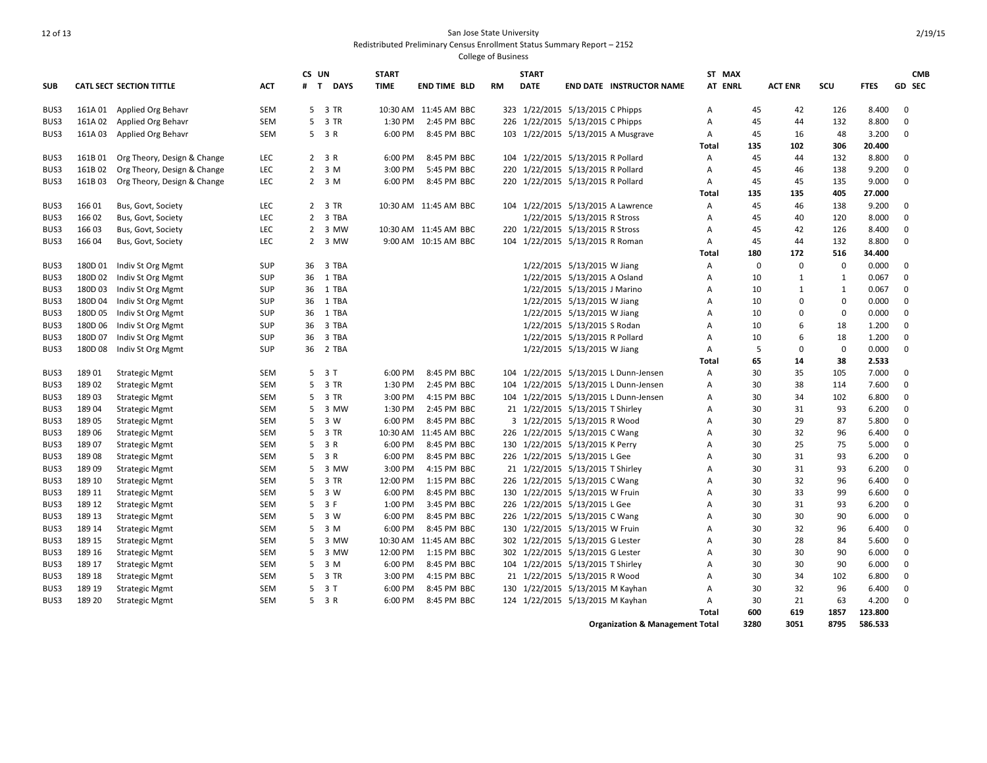|            |         |                                                |            | CS UN                       | <b>START</b>       |                       |           | <b>START</b> |                                                                      | ST MAX         |          |                |              |                | <b>CMB</b>  |
|------------|---------|------------------------------------------------|------------|-----------------------------|--------------------|-----------------------|-----------|--------------|----------------------------------------------------------------------|----------------|----------|----------------|--------------|----------------|-------------|
| <b>SUB</b> |         | CATL SECT SECTION TITTLE                       | <b>ACT</b> | <b>DAYS</b><br>$\mathbf{T}$ | <b>TIME</b>        | <b>END TIME BLD</b>   | <b>RM</b> | <b>DATE</b>  | <b>END DATE INSTRUCTOR NAME</b>                                      | <b>AT ENRL</b> |          | <b>ACT ENR</b> | SCU          | <b>FTES</b>    | GD SEC      |
| BUS3       | 161A 01 | Applied Org Behavr                             | <b>SEM</b> | 5 3 TR                      |                    | 10:30 AM 11:45 AM BBC |           |              | 323 1/22/2015 5/13/2015 C Phipps                                     | $\overline{A}$ | 45       | 42             | 126          | 8.400          | $\mathbf 0$ |
| BUS3       | 161A 02 | Applied Org Behavr                             | <b>SEM</b> | 5 3 TR                      | 1:30 PM            | 2:45 PM BBC           |           |              | 226 1/22/2015 5/13/2015 C Phipps                                     | Α              | 45       | 44             | 132          | 8.800          | 0           |
| BUS3       | 161A 03 | Applied Org Behavr                             | SEM        | 5 3 R                       | 6:00 PM            | 8:45 PM BBC           |           |              | 103 1/22/2015 5/13/2015 A Musgrave                                   | A              | 45       | 16             | 48           | 3.200          | $\mathbf 0$ |
|            |         |                                                |            |                             |                    |                       |           |              |                                                                      | Total          | 135      | 102            | 306          | 20.400         |             |
| BUS3       | 161B01  | Org Theory, Design & Change                    | <b>LEC</b> | $2 \t3R$                    | 6:00 PM            | 8:45 PM BBC           |           |              | 104 1/22/2015 5/13/2015 R Pollard                                    | $\overline{A}$ | 45       | 44             | 132          | 8.800          | $\mathbf 0$ |
| BUS3       | 161B02  | Org Theory, Design & Change                    | LEC        | $2 \quad 3 \quad M$         | 3:00 PM            | 5:45 PM BBC           |           |              | 220 1/22/2015 5/13/2015 R Pollard                                    | Α              | 45       | 46             | 138          | 9.200          | $\mathbf 0$ |
| BUS3       | 161B03  | Org Theory, Design & Change                    | <b>LEC</b> | $2 \quad 3 \quad M$         | 6:00 PM            | 8:45 PM BBC           |           |              | 220 1/22/2015 5/13/2015 R Pollard                                    | Α              | 45       | 45             | 135          | 9.000          | $\mathbf 0$ |
|            |         |                                                |            |                             |                    |                       |           |              |                                                                      | Total          | 135      | 135            | 405          | 27.000         |             |
| BUS3       | 166 01  | Bus, Govt, Society                             | <b>LEC</b> | 2 3 TR                      |                    | 10:30 AM 11:45 AM BBC |           |              | 104 1/22/2015 5/13/2015 A Lawrence                                   | $\mathsf{A}$   | 45       | 46             | 138          | 9.200          | $\mathbf 0$ |
| BUS3       | 166 02  | Bus, Govt, Society                             | LEC        | $2^{\circ}$<br>3 TBA        |                    |                       |           |              | 1/22/2015 5/13/2015 R Stross                                         | A              | 45       | 40             | 120          | 8.000          | $\mathbf 0$ |
| BUS3       | 166 03  | Bus, Govt, Society                             | <b>LEC</b> | 3 MW<br>$\mathbf{2}$        |                    | 10:30 AM 11:45 AM BBC |           |              | 220 1/22/2015 5/13/2015 R Stross                                     | A              | 45       | 42             | 126          | 8.400          | 0           |
| BUS3       | 166 04  | Bus, Govt, Society                             | <b>LEC</b> | 2 3 MW                      |                    | 9:00 AM 10:15 AM BBC  |           |              | 104 1/22/2015 5/13/2015 R Roman                                      | $\mathsf{A}$   | 45       | 44             | 132          | 8.800          | $\mathbf 0$ |
|            |         |                                                |            |                             |                    |                       |           |              |                                                                      | <b>Total</b>   | 180      | 172            | 516          | 34.400         |             |
| BUS3       | 180D 01 | Indiv St Org Mgmt                              | <b>SUP</b> | 3 TBA<br>36                 |                    |                       |           |              | 1/22/2015 5/13/2015 W Jiang                                          | A              | $\Omega$ | $\mathbf 0$    | $\mathbf{0}$ | 0.000          | $\mathbf 0$ |
| BUS3       | 180D 02 | Indiv St Org Mgmt                              | <b>SUP</b> | 36<br>1 TBA                 |                    |                       |           |              | 1/22/2015 5/13/2015 A Osland                                         | Α              | 10       | 1              | 1            | 0.067          | 0           |
| BUS3       | 180D03  | Indiv St Org Mgmt                              | <b>SUP</b> | 36<br>1 TBA                 |                    |                       |           |              | 1/22/2015 5/13/2015 J Marino                                         | A              | 10       | $\mathbf{1}$   | 1            | 0.067          | 0           |
| BUS3       | 180D 04 | Indiv St Org Mgmt                              | <b>SUP</b> | 1 TBA<br>36                 |                    |                       |           |              | 1/22/2015 5/13/2015 W Jiang                                          | $\overline{A}$ | 10       | $\Omega$       | $\mathbf 0$  | 0.000          | $\mathbf 0$ |
| BUS3       | 180D 05 | Indiv St Org Mgmt                              | SUP        | 1 TBA<br>36                 |                    |                       |           |              | 1/22/2015 5/13/2015 W Jiang                                          | $\overline{A}$ | 10       | $\Omega$       | $\Omega$     | 0.000          | $\mathbf 0$ |
| BUS3       | 180D 06 | Indiv St Org Mgmt                              | <b>SUP</b> | 3 TBA<br>36                 |                    |                       |           |              | 1/22/2015 5/13/2015 S Rodan                                          | A              | 10       | 6              | 18           | 1.200          | 0           |
| BUS3       | 180D 07 | Indiv St Org Mgmt                              | <b>SUP</b> | 36<br>3 TBA                 |                    |                       |           |              | 1/22/2015 5/13/2015 R Pollard                                        | Α              | 10       | 6              | 18           | 1.200          | 0           |
| BUS3       | 180D 08 | Indiv St Org Mgmt                              | SUP        | 2 TBA<br>36                 |                    |                       |           |              | 1/22/2015 5/13/2015 W Jiang                                          | A              | 5        | $\mathbf 0$    | $\mathbf{0}$ | 0.000          | $\mathbf 0$ |
|            |         |                                                |            |                             |                    |                       |           |              |                                                                      | Total          | 65       | 14             | 38           | 2.533          |             |
| BUS3       | 18901   | <b>Strategic Mgmt</b>                          | <b>SEM</b> | 5 3 T                       | 6:00 PM            | 8:45 PM BBC           | 104       |              | 1/22/2015 5/13/2015 L Dunn-Jensen                                    | $\mathsf{A}$   | 30       | 35             | 105          | 7.000          | 0           |
| BUS3       | 18902   | <b>Strategic Mgmt</b>                          | <b>SEM</b> | 5 3 TR                      | 1:30 PM            | 2:45 PM BBC           | 104       |              | 1/22/2015 5/13/2015 L Dunn-Jensen                                    | Α              | 30       | 38             | 114          | 7.600          | $\mathbf 0$ |
| BUS3       | 18903   | <b>Strategic Mgmt</b>                          | SEM        | 5 3 TR                      | 3:00 PM            | 4:15 PM BBC           | 104       |              | 1/22/2015 5/13/2015 L Dunn-Jensen                                    | А              | 30       | 34             | 102          | 6.800          | 0           |
| BUS3       | 18904   | <b>Strategic Mgmt</b>                          | <b>SEM</b> | 3 MW<br>5                   | 1:30 PM            | 2:45 PM BBC           |           |              | 21 1/22/2015 5/13/2015 T Shirley                                     | $\overline{A}$ | 30       | 31             | 93           | 6.200          | $\mathbf 0$ |
| BUS3       | 18905   | <b>Strategic Mgmt</b>                          | <b>SEM</b> | 5 3 W                       | 6:00 PM            | 8:45 PM BBC           |           |              | 3 1/22/2015 5/13/2015 R Wood                                         | Α              | 30       | 29             | 87           | 5.800          | $\mathbf 0$ |
| BUS3       | 18906   | <b>Strategic Mgmt</b>                          | <b>SEM</b> | 3 TR<br>5                   |                    | 10:30 AM 11:45 AM BBC | 226       |              | 1/22/2015 5/13/2015 C Wang                                           | A              | 30       | 32             | 96           | 6.400          | 0           |
| BUS3       | 18907   | <b>Strategic Mgmt</b>                          | <b>SEM</b> | 5 3 R                       | 6:00 PM            | 8:45 PM BBC           |           |              | 130 1/22/2015 5/13/2015 K Perry                                      | A              | 30       | 25             | 75           | 5.000          | $\mathbf 0$ |
| BUS3       | 18908   | <b>Strategic Mgmt</b>                          | <b>SEM</b> | 5 3 R                       | 6:00 PM            | 8:45 PM BBC           |           |              | 226 1/22/2015 5/13/2015 L Gee                                        | $\overline{A}$ | 30       | 31             | 93           | 6.200          | $\mathbf 0$ |
| BUS3       | 18909   | <b>Strategic Mgmt</b>                          | <b>SEM</b> | 5 3 MW                      | 3:00 PM            | 4:15 PM BBC           |           |              | 21 1/22/2015 5/13/2015 T Shirley                                     | $\overline{A}$ | 30       | 31             | 93           | 6.200          | $\mathbf 0$ |
| BUS3       | 189 10  | <b>Strategic Mgmt</b>                          | SEM        | 5 3 TR                      | 12:00 PM           | 1:15 PM BBC           |           |              | 226 1/22/2015 5/13/2015 C Wang                                       | Α              | 30       | 32             | 96           | 6.400          | 0           |
| BUS3       | 189 11  | <b>Strategic Mgmt</b>                          | <b>SEM</b> | 5 3 W                       | 6:00 PM            | 8:45 PM BBC           |           |              | 130 1/22/2015 5/13/2015 W Fruin                                      | Α              | 30       | 33             | 99           | 6.600          | 0           |
| BUS3       | 189 12  | <b>Strategic Mgmt</b>                          | <b>SEM</b> | 5 3 F                       | 1:00 PM            | 3:45 PM BBC           |           |              | 226 1/22/2015 5/13/2015 L Gee                                        | A              | 30       | 31             | 93           | 6.200          | $\mathbf 0$ |
| BUS3       | 189 13  | <b>Strategic Mgmt</b>                          | <b>SEM</b> | 5 3 W                       | 6:00 PM            | 8:45 PM BBC           |           |              | 226 1/22/2015 5/13/2015 C Wang                                       | $\overline{A}$ | 30       | 30             | 90           | 6.000          | $\mathbf 0$ |
| BUS3       | 189 14  | <b>Strategic Mgmt</b>                          | <b>SEM</b> | 5 3 M                       | 6:00 PM            | 8:45 PM BBC           |           |              | 130 1/22/2015 5/13/2015 W Fruin                                      | A              | 30       | 32             | 96           | 6.400          | $\mathbf 0$ |
| BUS3       | 189 15  | <b>Strategic Mgmt</b>                          | <b>SEM</b> | 3 MW<br>5                   |                    | 10:30 AM 11:45 AM BBC |           |              | 302 1/22/2015 5/13/2015 G Lester                                     | A              | 30       | 28             | 84           | 5.600          | 0           |
| BUS3       | 189 16  |                                                | <b>SEM</b> | 5<br>3 MW                   | 12:00 PM           | 1:15 PM BBC           |           |              | 302 1/22/2015 5/13/2015 G Lester                                     | $\overline{A}$ | 30       | 30             | 90           | 6.000          | $\mathbf 0$ |
| BUS3       | 189 17  | <b>Strategic Mgmt</b><br><b>Strategic Mgmt</b> | <b>SEM</b> | 5 3 M                       | 6:00 PM            | 8:45 PM BBC           |           |              | 104 1/22/2015 5/13/2015 T Shirley                                    | $\overline{A}$ | 30       | 30             | 90           | 6.000          | $\mathbf 0$ |
| BUS3       | 189 18  |                                                | <b>SEM</b> | 3 TR<br>5                   | 3:00 PM            | 4:15 PM BBC           | 21        |              | 1/22/2015 5/13/2015 R Wood                                           | Α              | 30       | 34             | 102          | 6.800          | $\mathbf 0$ |
| BUS3       | 189 19  | <b>Strategic Mgmt</b>                          | <b>SEM</b> |                             |                    | 8:45 PM BBC           |           |              |                                                                      |                | 30       |                | 96           |                | $\mathbf 0$ |
| BUS3       | 189 20  | <b>Strategic Mgmt</b>                          | <b>SEM</b> | 5 3 T<br>5 3 R              | 6:00 PM<br>6:00 PM | 8:45 PM BBC           |           |              | 130 1/22/2015 5/13/2015 M Kayhan<br>124 1/22/2015 5/13/2015 M Kayhan | Α<br>Α         | 30       | 32<br>21       | 63           | 6.400<br>4.200 | $\mathbf 0$ |
|            |         | <b>Strategic Mgmt</b>                          |            |                             |                    |                       |           |              |                                                                      | Total          | 600      | 619            | 1857         | 123.800        |             |
|            |         |                                                |            |                             |                    |                       |           |              | <b>Organization &amp; Management Total</b>                           |                | 3280     | 3051           | 8795         | 586.533        |             |
|            |         |                                                |            |                             |                    |                       |           |              |                                                                      |                |          |                |              |                |             |